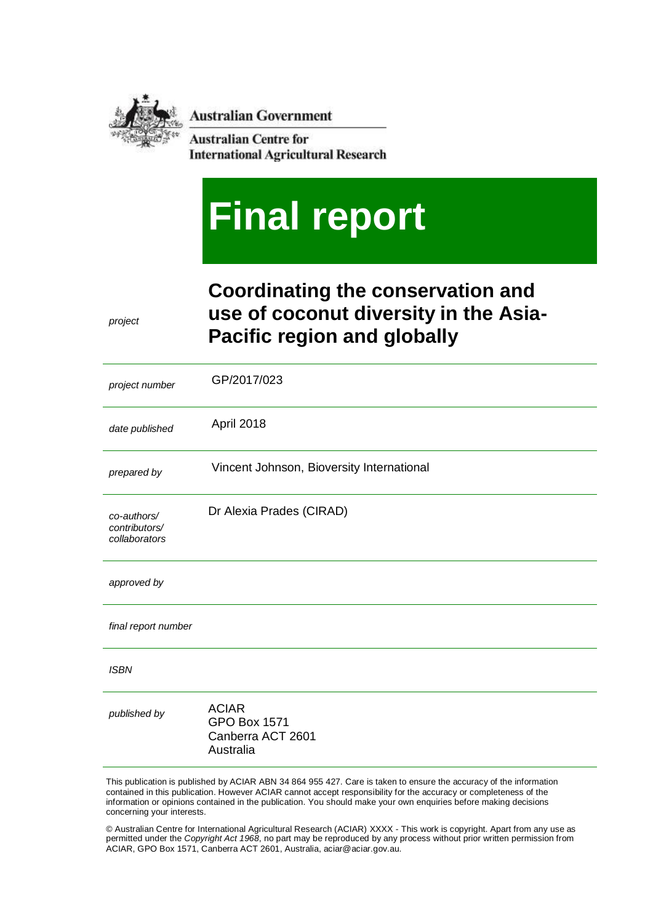**Australian Government** 

**Australian Centre for International Agricultural Research** 

# **Final report**

# **Coordinating the conservation and use of coconut diversity in the Asia-Pacific region and globally**

*project*

| project number                                | GP/2017/023                                                           |
|-----------------------------------------------|-----------------------------------------------------------------------|
| date published                                | April 2018                                                            |
| prepared by                                   | Vincent Johnson, Bioversity International                             |
| co-authors/<br>contributors/<br>collaborators | Dr Alexia Prades (CIRAD)                                              |
| approved by                                   |                                                                       |
| final report number                           |                                                                       |
| <b>ISBN</b>                                   |                                                                       |
| published by                                  | <b>ACIAR</b><br><b>GPO Box 1571</b><br>Canberra ACT 2601<br>Australia |

This publication is published by ACIAR ABN 34 864 955 427. Care is taken to ensure the accuracy of the information contained in this publication. However ACIAR cannot accept responsibility for the accuracy or completeness of the information or opinions contained in the publication. You should make your own enquiries before making decisions concerning your interests.

© Australian Centre for International Agricultural Research (ACIAR) XXXX - This work is copyright. Apart from any use as permitted under the *Copyright Act 1968*, no part may be reproduced by any process without prior written permission from ACIAR, GPO Box 1571, Canberra ACT 2601, Australia, aciar@aciar.gov.au.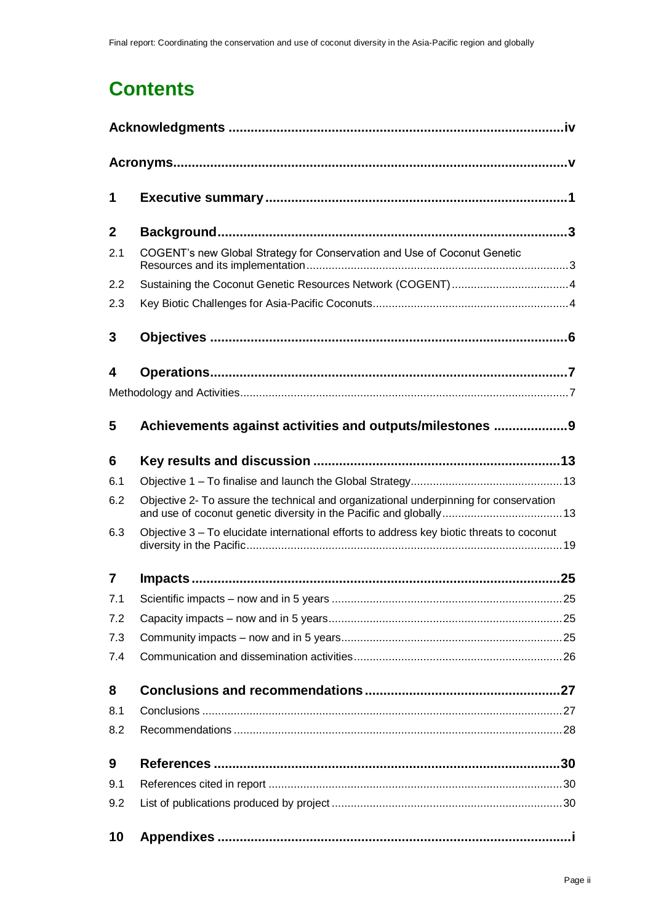# **Contents**

| 1              |                                                                                           |  |
|----------------|-------------------------------------------------------------------------------------------|--|
| $\overline{2}$ |                                                                                           |  |
| 2.1            | COGENT's new Global Strategy for Conservation and Use of Coconut Genetic                  |  |
| 2.2            | Sustaining the Coconut Genetic Resources Network (COGENT)4                                |  |
| 2.3            |                                                                                           |  |
| 3              |                                                                                           |  |
| 4              |                                                                                           |  |
|                |                                                                                           |  |
| 5              | Achievements against activities and outputs/milestones 9                                  |  |
| 6              |                                                                                           |  |
| 6.1            |                                                                                           |  |
| 6.2            | Objective 2- To assure the technical and organizational underpinning for conservation     |  |
| 6.3            | Objective 3 - To elucidate international efforts to address key biotic threats to coconut |  |
| $\overline{7}$ |                                                                                           |  |
| 7.1            |                                                                                           |  |
| 7.2            |                                                                                           |  |
| 7.3            |                                                                                           |  |
| 7.4            |                                                                                           |  |
| 8              |                                                                                           |  |
| 8.1            |                                                                                           |  |
| 8.2            |                                                                                           |  |
| 9              |                                                                                           |  |
| 9.1            |                                                                                           |  |
| 9.2            |                                                                                           |  |
| 10             |                                                                                           |  |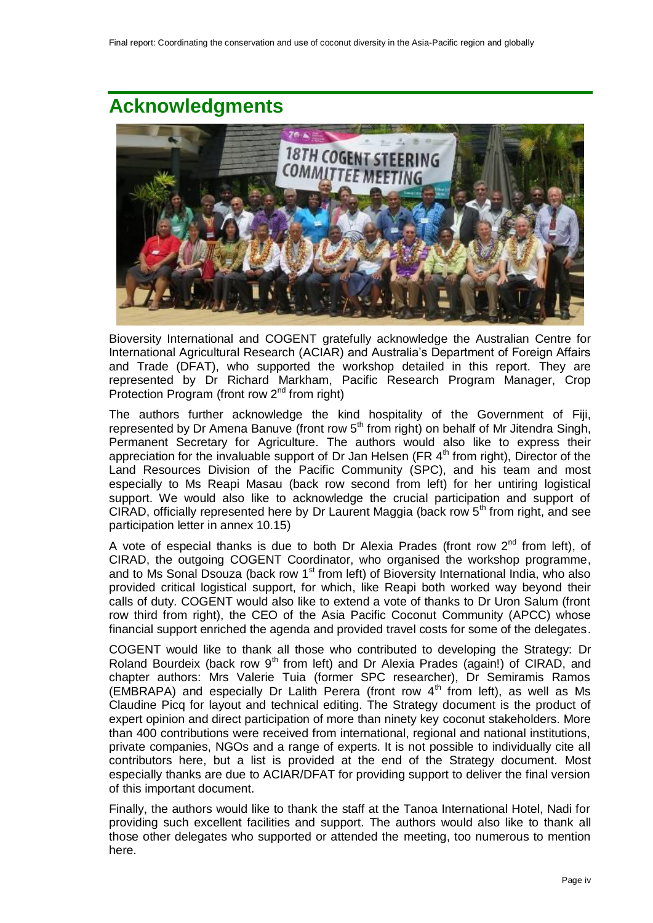# <span id="page-3-0"></span>**Acknowledgments**



Bioversity International and COGENT gratefully acknowledge the Australian Centre for International Agricultural Research (ACIAR) and Australia's Department of Foreign Affairs and Trade (DFAT), who supported the workshop detailed in this report. They are represented by Dr Richard Markham, Pacific Research Program Manager, Crop Protection Program (front row 2<sup>nd</sup> from right)

The authors further acknowledge the kind hospitality of the Government of Fiji, represented by Dr Amena Banuve (front row 5<sup>th</sup> from right) on behalf of Mr Jitendra Singh, Permanent Secretary for Agriculture. The authors would also like to express their appreciation for the invaluable support of Dr Jan Helsen (FR  $4<sup>th</sup>$  from right), Director of the Land Resources Division of the Pacific Community (SPC), and his team and most especially to Ms Reapi Masau (back row second from left) for her untiring logistical support. We would also like to acknowledge the crucial participation and support of CIRAD, officially represented here by Dr Laurent Maggia (back row  $5<sup>th</sup>$  from right, and see participation letter in annex 10.15)

A vote of especial thanks is due to both Dr Alexia Prades (front row  $2^{nd}$  from left), of CIRAD, the outgoing COGENT Coordinator, who organised the workshop programme, and to Ms Sonal Dsouza (back row 1<sup>st</sup> from left) of Bioversity International India, who also provided critical logistical support, for which, like Reapi both worked way beyond their calls of duty. COGENT would also like to extend a vote of thanks to Dr Uron Salum (front row third from right), the CEO of the Asia Pacific Coconut Community (APCC) whose financial support enriched the agenda and provided travel costs for some of the delegates.

COGENT would like to thank all those who contributed to developing the Strategy: Dr Roland Bourdeix (back row  $9<sup>th</sup>$  from left) and Dr Alexia Prades (again!) of CIRAD, and chapter authors: Mrs Valerie Tuia (former SPC researcher), Dr Semiramis Ramos (EMBRAPA) and especially Dr Lalith Perera (front row  $4<sup>th</sup>$  from left), as well as Ms Claudine Picq for layout and technical editing. The Strategy document is the product of expert opinion and direct participation of more than ninety key coconut stakeholders. More than 400 contributions were received from international, regional and national institutions, private companies, NGOs and a range of experts. It is not possible to individually cite all contributors here, but a list is provided at the end of the Strategy document. Most especially thanks are due to ACIAR/DFAT for providing support to deliver the final version of this important document.

Finally, the authors would like to thank the staff at the Tanoa International Hotel, Nadi for providing such excellent facilities and support. The authors would also like to thank all those other delegates who supported or attended the meeting, too numerous to mention here.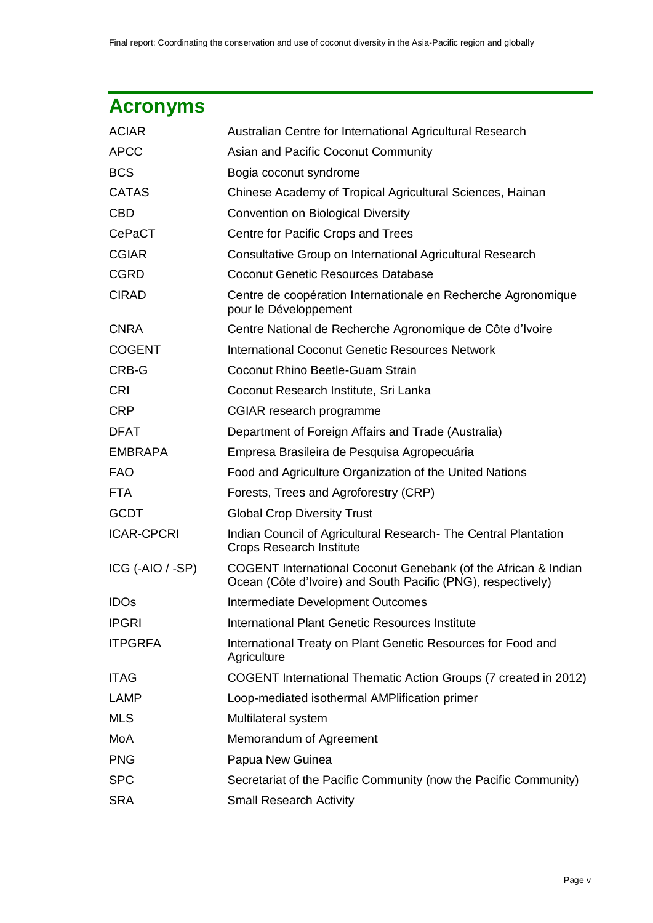<span id="page-4-0"></span>

| <b>Acronyms</b>    |                                                                                                                                |
|--------------------|--------------------------------------------------------------------------------------------------------------------------------|
| <b>ACIAR</b>       | Australian Centre for International Agricultural Research                                                                      |
| <b>APCC</b>        | Asian and Pacific Coconut Community                                                                                            |
| <b>BCS</b>         | Bogia coconut syndrome                                                                                                         |
| <b>CATAS</b>       | Chinese Academy of Tropical Agricultural Sciences, Hainan                                                                      |
| <b>CBD</b>         | Convention on Biological Diversity                                                                                             |
| CePaCT             | Centre for Pacific Crops and Trees                                                                                             |
| <b>CGIAR</b>       | Consultative Group on International Agricultural Research                                                                      |
| <b>CGRD</b>        | <b>Coconut Genetic Resources Database</b>                                                                                      |
| <b>CIRAD</b>       | Centre de coopération Internationale en Recherche Agronomique<br>pour le Développement                                         |
| <b>CNRA</b>        | Centre National de Recherche Agronomique de Côte d'Ivoire                                                                      |
| <b>COGENT</b>      | <b>International Coconut Genetic Resources Network</b>                                                                         |
| CRB-G              | Coconut Rhino Beetle-Guam Strain                                                                                               |
| <b>CRI</b>         | Coconut Research Institute, Sri Lanka                                                                                          |
| <b>CRP</b>         | CGIAR research programme                                                                                                       |
| <b>DFAT</b>        | Department of Foreign Affairs and Trade (Australia)                                                                            |
| <b>EMBRAPA</b>     | Empresa Brasileira de Pesquisa Agropecuária                                                                                    |
| <b>FAO</b>         | Food and Agriculture Organization of the United Nations                                                                        |
| <b>FTA</b>         | Forests, Trees and Agroforestry (CRP)                                                                                          |
| <b>GCDT</b>        | <b>Global Crop Diversity Trust</b>                                                                                             |
| <b>ICAR-CPCRI</b>  | Indian Council of Agricultural Research-The Central Plantation<br><b>Crops Research Institute</b>                              |
| $ICG$ (-AIO / -SP) | COGENT International Coconut Genebank (of the African & Indian<br>Ocean (Côte d'Ivoire) and South Pacific (PNG), respectively) |
| <b>IDOs</b>        | Intermediate Development Outcomes                                                                                              |
| <b>IPGRI</b>       | International Plant Genetic Resources Institute                                                                                |
| <b>ITPGRFA</b>     | International Treaty on Plant Genetic Resources for Food and<br>Agriculture                                                    |
| <b>ITAG</b>        | COGENT International Thematic Action Groups (7 created in 2012)                                                                |
| <b>LAMP</b>        | Loop-mediated isothermal AMPlification primer                                                                                  |
| <b>MLS</b>         | Multilateral system                                                                                                            |
| <b>MoA</b>         | Memorandum of Agreement                                                                                                        |
| <b>PNG</b>         | Papua New Guinea                                                                                                               |
| <b>SPC</b>         | Secretariat of the Pacific Community (now the Pacific Community)                                                               |
| <b>SRA</b>         | <b>Small Research Activity</b>                                                                                                 |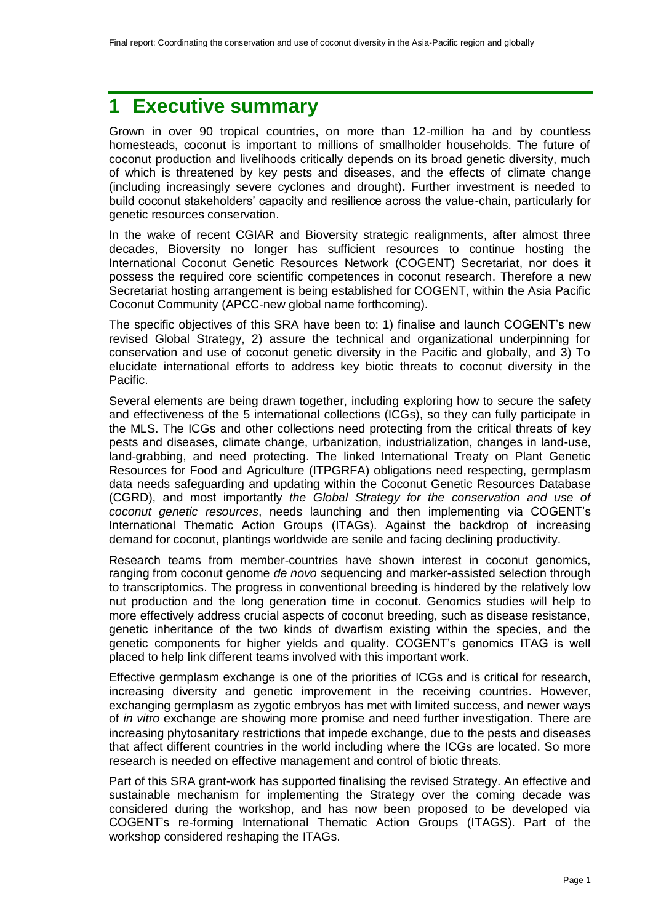# <span id="page-5-0"></span>**1 Executive summary**

Grown in over 90 tropical countries, on more than 12-million ha and by countless homesteads, coconut is important to millions of smallholder households. The future of coconut production and livelihoods critically depends on its broad genetic diversity, much of which is threatened by key pests and diseases, and the effects of climate change (including increasingly severe cyclones and drought)**.** Further investment is needed to build coconut stakeholders' capacity and resilience across the value-chain, particularly for genetic resources conservation.

In the wake of recent CGIAR and Bioversity strategic realignments, after almost three decades, Bioversity no longer has sufficient resources to continue hosting the International Coconut Genetic Resources Network (COGENT) Secretariat, nor does it possess the required core scientific competences in coconut research. Therefore a new Secretariat hosting arrangement is being established for COGENT, within the Asia Pacific Coconut Community (APCC-new global name forthcoming).

The specific objectives of this SRA have been to: 1) finalise and launch COGENT's new revised Global Strategy, 2) assure the technical and organizational underpinning for conservation and use of coconut genetic diversity in the Pacific and globally, and 3) To elucidate international efforts to address key biotic threats to coconut diversity in the Pacific.

Several elements are being drawn together, including exploring how to secure the safety and effectiveness of the 5 international collections (ICGs), so they can fully participate in the MLS. The ICGs and other collections need protecting from the critical threats of key pests and diseases, climate change, urbanization, industrialization, changes in land-use, land-grabbing, and need protecting. The linked International Treaty on Plant Genetic Resources for Food and Agriculture (ITPGRFA) obligations need respecting, germplasm data needs safeguarding and updating within the Coconut Genetic Resources Database (CGRD), and most importantly *the Global Strategy for the conservation and use of coconut genetic resources*, needs launching and then implementing via COGENT's International Thematic Action Groups (ITAGs). Against the backdrop of increasing demand for coconut, plantings worldwide are senile and facing declining productivity.

Research teams from member-countries have shown interest in coconut genomics, ranging from coconut genome *de novo* sequencing and marker-assisted selection through to transcriptomics. The progress in conventional breeding is hindered by the relatively low nut production and the long generation time in coconut. Genomics studies will help to more effectively address crucial aspects of coconut breeding, such as disease resistance, genetic inheritance of the two kinds of dwarfism existing within the species, and the genetic components for higher yields and quality. COGENT's genomics ITAG is well placed to help link different teams involved with this important work.

Effective germplasm exchange is one of the priorities of ICGs and is critical for research, increasing diversity and genetic improvement in the receiving countries. However, exchanging germplasm as zygotic embryos has met with limited success, and newer ways of *in vitro* exchange are showing more promise and need further investigation. There are increasing phytosanitary restrictions that impede exchange, due to the pests and diseases that affect different countries in the world including where the ICGs are located. So more research is needed on effective management and control of biotic threats.

Part of this SRA grant-work has supported finalising the revised Strategy. An effective and sustainable mechanism for implementing the Strategy over the coming decade was considered during the workshop, and has now been proposed to be developed via COGENT's re-forming International Thematic Action Groups (ITAGS). Part of the workshop considered reshaping the ITAGs.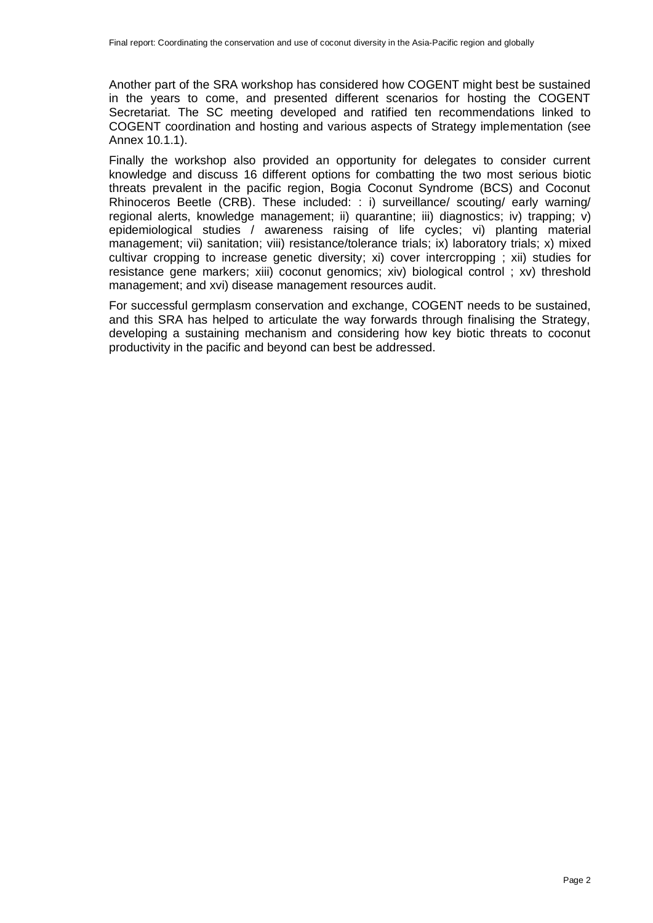Another part of the SRA workshop has considered how COGENT might best be sustained in the years to come, and presented different scenarios for hosting the COGENT Secretariat. The SC meeting developed and ratified ten recommendations linked to COGENT coordination and hosting and various aspects of Strategy implementation (see Annex 10.1.1).

Finally the workshop also provided an opportunity for delegates to consider current knowledge and discuss 16 different options for combatting the two most serious biotic threats prevalent in the pacific region, Bogia Coconut Syndrome (BCS) and Coconut Rhinoceros Beetle (CRB). These included: : i) surveillance/ scouting/ early warning/ regional alerts, knowledge management; ii) quarantine; iii) diagnostics; iv) trapping; v) epidemiological studies / awareness raising of life cycles; vi) planting material management; vii) sanitation; viii) resistance/tolerance trials; ix) laboratory trials; x) mixed cultivar cropping to increase genetic diversity; xi) cover intercropping ; xii) studies for resistance gene markers; xiii) coconut genomics; xiv) biological control ; xv) threshold management; and xvi) disease management resources audit.

For successful germplasm conservation and exchange, COGENT needs to be sustained, and this SRA has helped to articulate the way forwards through finalising the Strategy, developing a sustaining mechanism and considering how key biotic threats to coconut productivity in the pacific and beyond can best be addressed.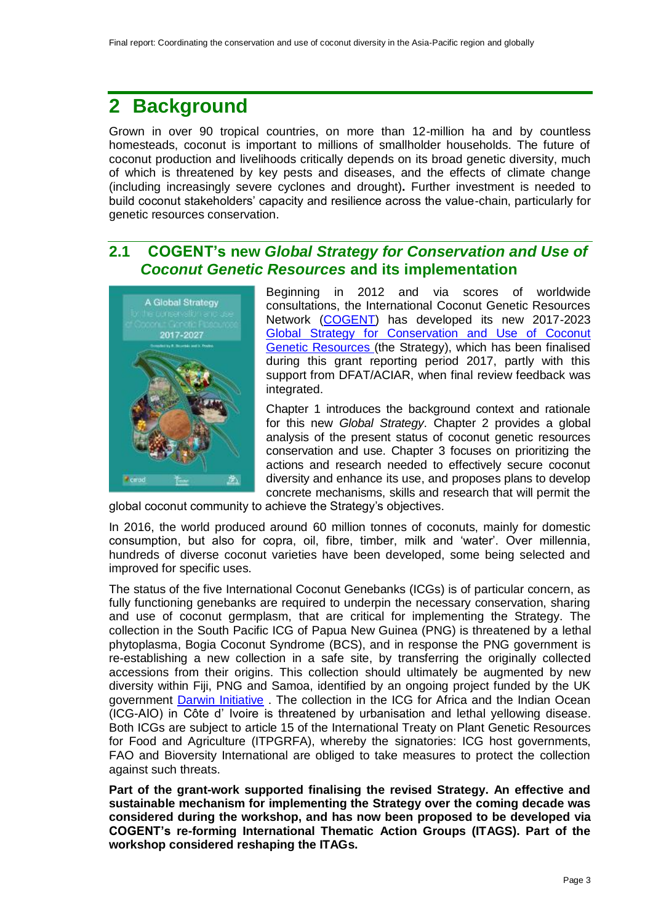# <span id="page-7-0"></span>**2 Background**

Grown in over 90 tropical countries, on more than 12-million ha and by countless homesteads, coconut is important to millions of smallholder households. The future of coconut production and livelihoods critically depends on its broad genetic diversity, much of which is threatened by key pests and diseases, and the effects of climate change (including increasingly severe cyclones and drought)**.** Further investment is needed to build coconut stakeholders' capacity and resilience across the value-chain, particularly for genetic resources conservation.

### <span id="page-7-1"></span>**2.1 COGENT's new** *Global Strategy for Conservation and Use of Coconut Genetic Resources* **and its implementation**



Beginning in 2012 and via scores of worldwide consultations, the International Coconut Genetic Resources Network [\(COGENT\)](http://www.cogentnetwork.org/about-cogent) has developed its new 2017-2023 [Global Strategy](http://www.cogentnetwork.org/images/publications/Brochure_final_LLD_Oct_25_2017_full_web_version.pdf) for Conservation and Use of Coconut Genetic Resources (the Strategy), which has been finalised during this grant reporting period 2017, partly with this support from DFAT/ACIAR, when final review feedback was integrated.

Chapter 1 introduces the background context and rationale for this new *Global Strategy*. Chapter 2 provides a global analysis of the present status of coconut genetic resources conservation and use. Chapter 3 focuses on prioritizing the actions and research needed to effectively secure coconut diversity and enhance its use, and proposes plans to develop concrete mechanisms, skills and research that will permit the

global coconut community to achieve the Strategy's objectives.

In 2016, the world produced around 60 million tonnes of coconuts, mainly for domestic consumption, but also for copra, oil, fibre, timber, milk and 'water'. Over millennia, hundreds of diverse coconut varieties have been developed, some being selected and improved for specific uses.

The status of the five International Coconut Genebanks (ICGs) is of particular concern, as fully functioning genebanks are required to underpin the necessary conservation, sharing and use of coconut germplasm, that are critical for implementing the Strategy. The collection in the South Pacific ICG of Papua New Guinea (PNG) is threatened by a lethal phytoplasma, Bogia Coconut Syndrome (BCS), and in response the PNG government is re-establishing a new collection in a safe site, by transferring the originally collected accessions from their origins. This collection should ultimately be augmented by new diversity within Fiji, PNG and Samoa, identified by an ongoing project funded by the UK government **Darwin Initiative** . The collection in the ICG for Africa and the Indian Ocean (ICG-AIO) in Côte d' Ivoire is threatened by urbanisation and lethal yellowing disease. Both ICGs are subject to article 15 of the International Treaty on Plant Genetic Resources for Food and Agriculture (ITPGRFA), whereby the signatories: ICG host governments, FAO and Bioversity International are obliged to take measures to protect the collection against such threats.

**Part of the grant-work supported finalising the revised Strategy. An effective and sustainable mechanism for implementing the Strategy over the coming decade was considered during the workshop, and has now been proposed to be developed via COGENT's re-forming International Thematic Action Groups (ITAGS). Part of the workshop considered reshaping the ITAGs.**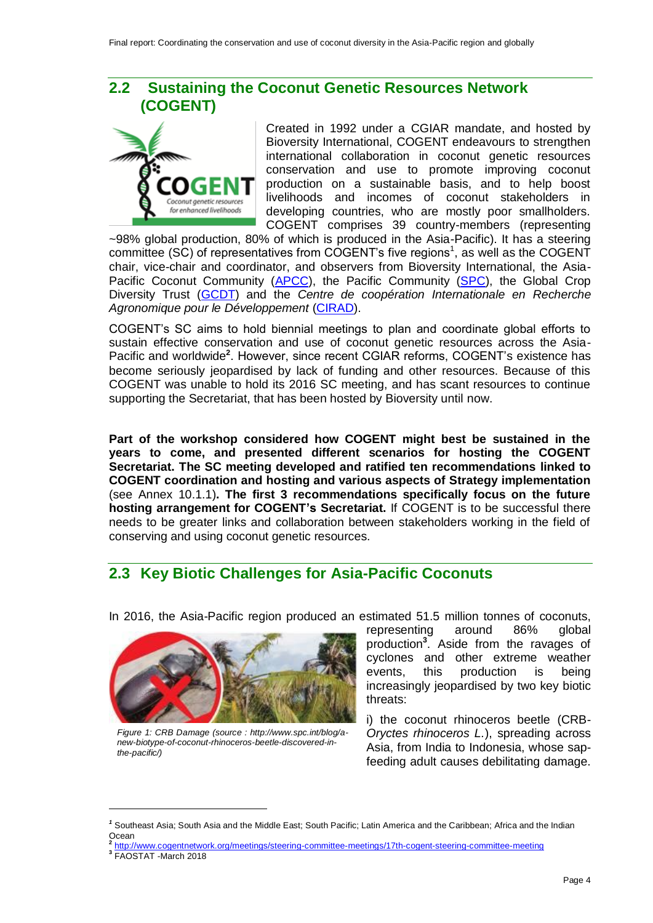### <span id="page-8-0"></span>**2.2 Sustaining the Coconut Genetic Resources Network (COGENT)**



Created in 1992 under a [CGIAR](http://www.cgiar.org/) mandate, and hosted by [Bioversity International,](http://www.bioversityinternational.org/) COGENT endeavours to strengthen international collaboration in coconut genetic resources conservation and use to promote improving coconut production on a sustainable basis, and to help boost livelihoods and incomes of coconut stakeholders in developing countries, who are mostly poor smallholders. COGENT comprises 39 country-members (representing

~98% global production, 80% of which is produced in the Asia-Pacific). It has a steering committee (SC) of representatives from COGENT's five regions<sup>1</sup>, as well as the COGENT chair, vice-chair and coordinator, and observers from Bioversity International, the Asia-Pacific Coconut Community [\(APCC\)](http://www.apccsec.org/), the Pacific Community [\(SPC\)](http://www.spc.int/), the Global Crop Diversity Trust [\(GCDT\)](https://www.croptrust.org/) and the *Centre de coopération Internationale en Recherche Agronomique pour le Développement* [\(CIRAD\)](http://www.cirad.fr/en).

COGENT's SC aims to hold biennial meetings to plan and coordinate global efforts to sustain effective conservation and use of coconut genetic resources across the Asia-Pacific and worldwide<sup>2</sup>. However, since recent CGIAR reforms, COGENT's existence has become seriously jeopardised by lack of funding and other resources. Because of this COGENT was unable to hold its 2016 SC meeting, and has scant resources to continue supporting the Secretariat, that has been hosted by Bioversity until now.

**Part of the workshop considered how COGENT might best be sustained in the years to come, and presented different scenarios for hosting the COGENT Secretariat. The SC meeting developed and ratified ten recommendations linked to COGENT coordination and hosting and various aspects of Strategy implementation** (see Annex 10.1.1)**. The first 3 recommendations specifically focus on the future hosting arrangement for COGENT's Secretariat.** If COGENT is to be successful there needs to be greater links and collaboration between stakeholders working in the field of conserving and using coconut genetic resources.

# <span id="page-8-1"></span>**2.3 Key Biotic Challenges for Asia-Pacific Coconuts**



In 2016, the Asia-Pacific region produced an estimated 51.5 million tonnes of coconuts,

*Figure 1: CRB Damage (source : http://www.spc.int/blog/anew-biotype-of-coconut-rhinoceros-beetle-discovered-inthe-pacific/)*

-

representing around 86% global production**<sup>3</sup>** . Aside from the ravages of cyclones and other extreme weather events, this production is being increasingly jeopardised by two key biotic threats:

i) the coconut rhinoceros beetle (CRB-*Oryctes rhinoceros L.*), spreading across Asia, from India to Indonesia, whose sapfeeding adult causes debilitating damage.

*<sup>1</sup>* Southeast Asia; South Asia and the Middle East; South Pacific; Latin America and the Caribbean; Africa and the Indian

Ocean<br><sup>2</sup> <http://www.cogentnetwork.org/meetings/steering-committee-meetings/17th-cogent-steering-committee-meeting><br><sup>3</sup> EAOSTAT, Mareb 2019 <sup>3</sup> FAOSTAT - March 2018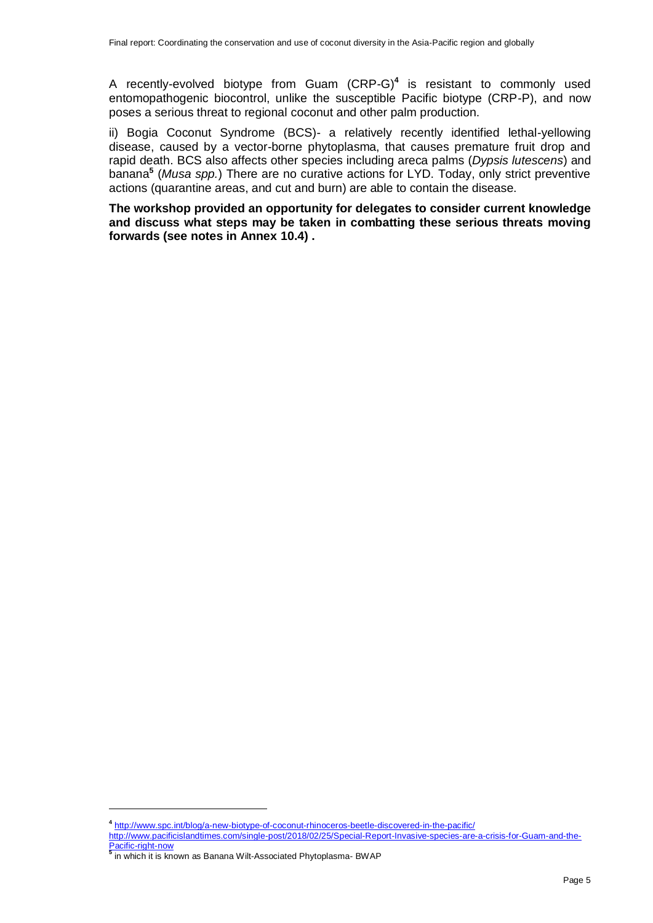A recently-evolved biotype from Guam (CRP-G)**<sup>4</sup>** is resistant to commonly used entomopathogenic biocontrol, unlike the susceptible Pacific biotype (CRP-P), and now poses a serious threat to regional coconut and other palm production.

ii) Bogia Coconut Syndrome (BCS)- a relatively recently identified lethal-yellowing disease, caused by a vector-borne phytoplasma, that causes premature fruit drop and rapid death. BCS also affects other species including areca palms (*Dypsis lutescens*) and banana**<sup>5</sup>** (*Musa spp.*) There are no curative actions for LYD. Today, only strict preventive actions (quarantine areas, and cut and burn) are able to contain the disease.

**The workshop provided an opportunity for delegates to consider current knowledge and discuss what steps may be taken in combatting these serious threats moving forwards (see notes in Annex 10.4) .**

-

**<sup>4</sup>** <http://www.spc.int/blog/a-new-biotype-of-coconut-rhinoceros-beetle-discovered-in-the-pacific/>

[http://www.pacificislandtimes.com/single-post/2018/02/25/Special-Report-Invasive-species-are-a-crisis-for-Guam-and-the-](http://www.pacificislandtimes.com/single-post/2018/02/25/Special-Report-Invasive-species-are-a-crisis-for-Guam-and-the-Pacific-right-now)

<sup>&</sup>lt;mark>[Pacific-right-now](http://www.pacificislandtimes.com/single-post/2018/02/25/Special-Report-Invasive-species-are-a-crisis-for-Guam-and-the-Pacific-right-now)</mark><br><sup>5</sup> in which it is known as Banana Wilt-Associated Phytoplasma- BWAP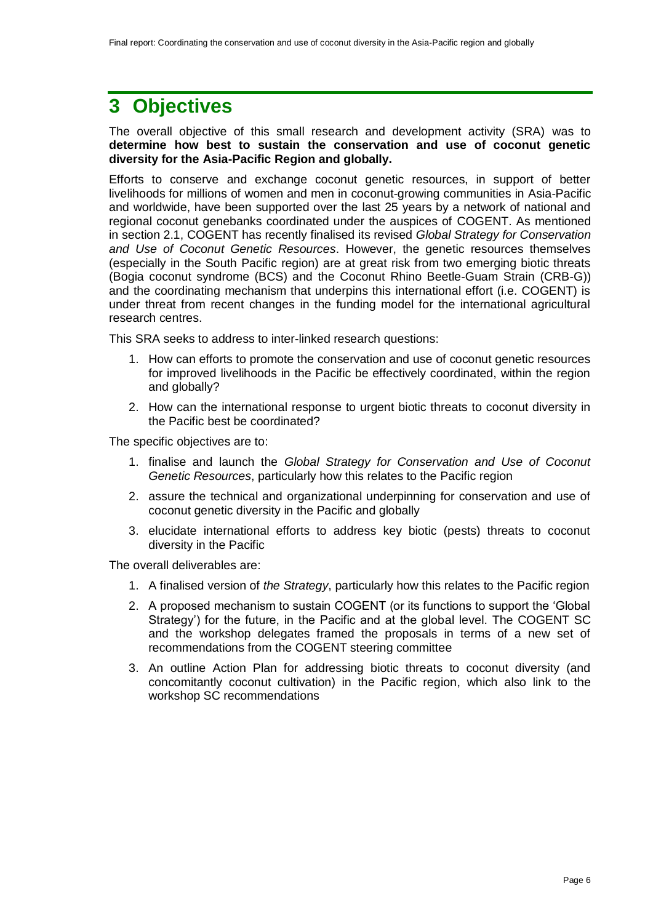# <span id="page-10-0"></span>**3 Objectives**

The overall objective of this small research and development activity (SRA) was to **determine how best to sustain the conservation and use of coconut genetic diversity for the Asia-Pacific Region and globally.** 

Efforts to conserve and exchange coconut genetic resources, in support of better livelihoods for millions of women and men in coconut-growing communities in Asia-Pacific and worldwide, have been supported over the last 25 years by a network of national and regional coconut genebanks coordinated under the auspices of COGENT. As mentioned in section 2.1, COGENT has recently finalised its revised *Global Strategy for Conservation and Use of Coconut Genetic Resources*. However, the genetic resources themselves (especially in the South Pacific region) are at great risk from two emerging biotic threats (Bogia coconut syndrome (BCS) and the Coconut Rhino Beetle-Guam Strain (CRB-G)) and the coordinating mechanism that underpins this international effort (i.e. COGENT) is under threat from recent changes in the funding model for the international agricultural research centres.

This SRA seeks to address to inter-linked research questions:

- 1. How can efforts to promote the conservation and use of coconut genetic resources for improved livelihoods in the Pacific be effectively coordinated, within the region and globally?
- 2. How can the international response to urgent biotic threats to coconut diversity in the Pacific best be coordinated?

The specific objectives are to:

- 1. finalise and launch the *Global Strategy for Conservation and Use of Coconut Genetic Resources*, particularly how this relates to the Pacific region
- 2. assure the technical and organizational underpinning for conservation and use of coconut genetic diversity in the Pacific and globally
- 3. elucidate international efforts to address key biotic (pests) threats to coconut diversity in the Pacific

The overall deliverables are:

- 1. A finalised version of *the Strategy*, particularly how this relates to the Pacific region
- 2. A proposed mechanism to sustain COGENT (or its functions to support the 'Global Strategy') for the future, in the Pacific and at the global level. The COGENT SC and the workshop delegates framed the proposals in terms of a new set of recommendations from the COGENT steering committee
- 3. An outline Action Plan for addressing biotic threats to coconut diversity (and concomitantly coconut cultivation) in the Pacific region, which also link to the workshop SC recommendations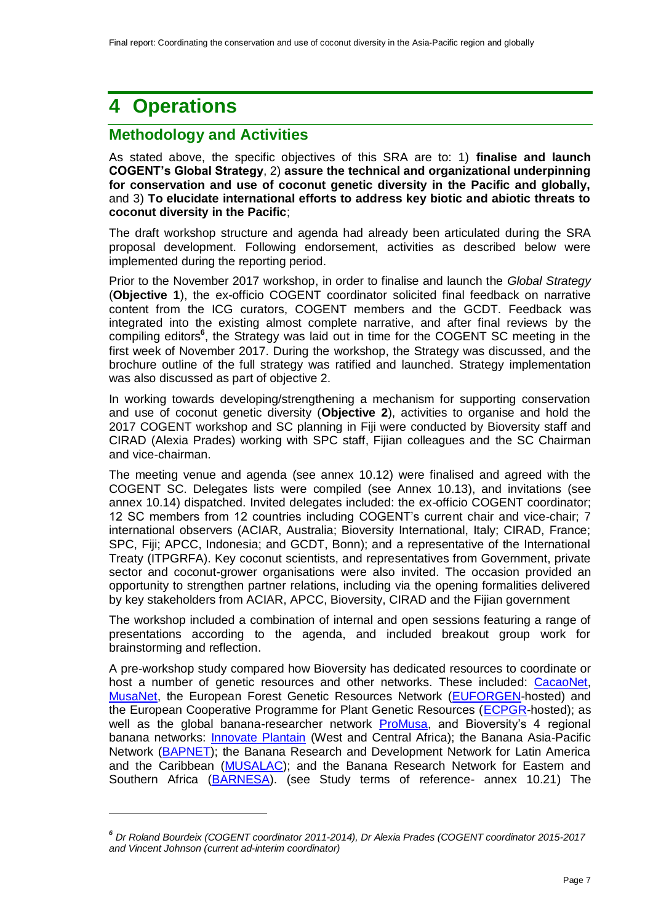# <span id="page-11-0"></span>**4 Operations**

-

### <span id="page-11-1"></span>**Methodology and Activities**

As stated above, the specific objectives of this SRA are to: 1) **finalise and launch COGENT's Global Strategy**, 2) **assure the technical and organizational underpinning for conservation and use of coconut genetic diversity in the Pacific and globally,**  and 3) **To elucidate international efforts to address key biotic and abiotic threats to coconut diversity in the Pacific**;

The draft workshop structure and agenda had already been articulated during the SRA proposal development. Following endorsement, activities as described below were implemented during the reporting period.

Prior to the November 2017 workshop, in order to finalise and launch the *Global Strategy* (**Objective 1**), the ex-officio COGENT coordinator solicited final feedback on narrative content from the ICG curators, COGENT members and the GCDT. Feedback was integrated into the existing almost complete narrative, and after final reviews by the compiling editors<sup>6</sup>, the Strategy was laid out in time for the COGENT SC meeting in the first week of November 2017. During the workshop, the Strategy was discussed, and the brochure outline of the full strategy was ratified and launched. Strategy implementation was also discussed as part of objective 2.

In working towards developing/strengthening a mechanism for supporting conservation and use of coconut genetic diversity (**Objective 2**), activities to organise and hold the 2017 COGENT workshop and SC planning in Fiji were conducted by Bioversity staff and CIRAD (Alexia Prades) working with SPC staff, Fijian colleagues and the SC Chairman and vice-chairman.

The meeting venue and agenda (see annex 10.12) were finalised and agreed with the COGENT SC. Delegates lists were compiled (see Annex 10.13), and invitations (see annex 10.14) dispatched. Invited delegates included: the ex-officio COGENT coordinator; 12 SC members from 12 countries including COGENT's current chair and vice-chair; 7 international observers (ACIAR, Australia; Bioversity International, Italy; CIRAD, France; SPC, Fiji; APCC, Indonesia; and GCDT, Bonn); and a representative of the International Treaty (ITPGRFA). Key coconut scientists, and representatives from Government, private sector and coconut-grower organisations were also invited. The occasion provided an opportunity to strengthen partner relations, including via the opening formalities delivered by key stakeholders from ACIAR, APCC, Bioversity, CIRAD and the Fijian government

The workshop included a combination of internal and open sessions featuring a range of presentations according to the agenda, and included breakout group work for brainstorming and reflection.

A pre-workshop study compared how Bioversity has dedicated resources to coordinate or host a number of genetic resources and other networks. These included: [CacaoNet,](http://www.cacaonet.org/) [MusaNet,](http://www.musanet.org/) the European Forest Genetic Resources Network [\(EUFORGEN-](http://www.euforgen.org/)hosted) and the European Cooperative Programme for Plant Genetic Resources [\(ECPGR-](http://www.ecpgr.cgiar.org/)hosted); as well as the global banana-researcher network [ProMusa,](http://www.promusa.org/MUSALAC) and Bioversity's 4 regional banana networks: [Innovate Plantain](http://www.promusa.org/Innovate+plantain) (West and Central Africa); the Banana Asia-Pacific Network [\(BAPNET\)](http://www.promusa.org/BAPNET); the Banana Research and Development Network for Latin America and the Caribbean [\(MUSALAC\)](http://www.promusa.org/MUSALAC); and the Banana Research Network for Eastern and Southern Africa (BARNESA). (see Study terms of reference- annex 10.21) The

*<sup>6</sup> Dr Roland Bourdeix (COGENT coordinator 2011-2014), Dr Alexia Prades (COGENT coordinator 2015-2017 and Vincent Johnson (current ad-interim coordinator)*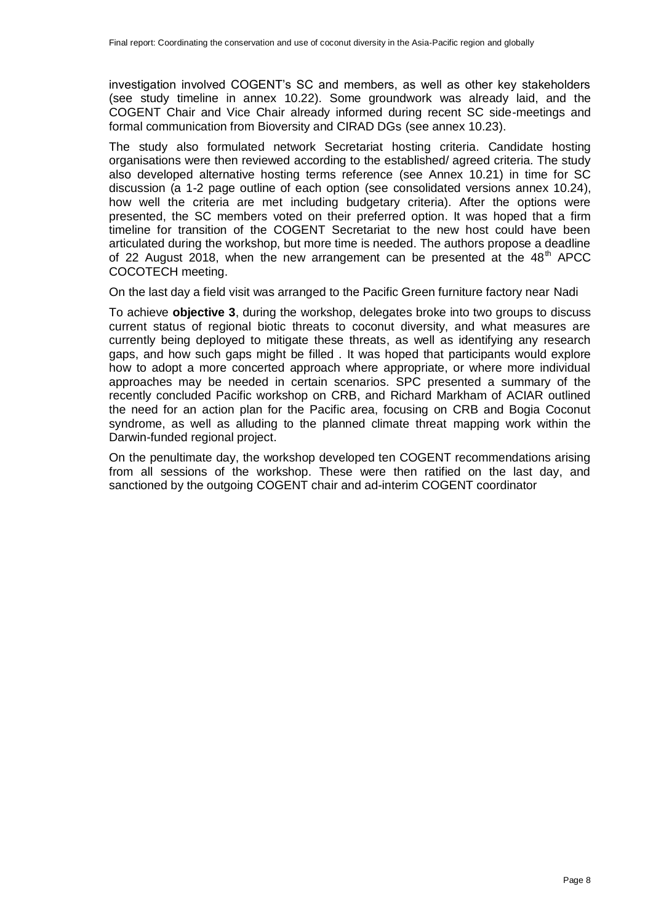investigation involved COGENT's SC and members, as well as other key stakeholders (see study timeline in annex 10.22). Some groundwork was already laid, and the COGENT Chair and Vice Chair already informed during recent SC side-meetings and formal communication from Bioversity and CIRAD DGs (see annex 10.23).

The study also formulated network Secretariat hosting criteria. Candidate hosting organisations were then reviewed according to the established/ agreed criteria. The study also developed alternative hosting terms reference (see Annex 10.21) in time for SC discussion (a 1-2 page outline of each option (see consolidated versions annex 10.24), how well the criteria are met including budgetary criteria). After the options were presented, the SC members voted on their preferred option. It was hoped that a firm timeline for transition of the COGENT Secretariat to the new host could have been articulated during the workshop, but more time is needed. The authors propose a deadline of 22 August 2018, when the new arrangement can be presented at the  $48<sup>th</sup>$  APCC COCOTECH meeting.

On the last day a field visit was arranged to the Pacific Green furniture factory near Nadi

To achieve **objective 3**, during the workshop, delegates broke into two groups to discuss current status of regional biotic threats to coconut diversity, and what measures are currently being deployed to mitigate these threats, as well as identifying any research gaps, and how such gaps might be filled . It was hoped that participants would explore how to adopt a more concerted approach where appropriate, or where more individual approaches may be needed in certain scenarios. SPC presented a summary of the recently concluded Pacific workshop on CRB, and Richard Markham of ACIAR outlined the need for an action plan for the Pacific area, focusing on CRB and Bogia Coconut syndrome, as well as alluding to the planned climate threat mapping work within the Darwin-funded regional project.

On the penultimate day, the workshop developed ten COGENT recommendations arising from all sessions of the workshop. These were then ratified on the last day, and sanctioned by the outgoing COGENT chair and ad-interim COGENT coordinator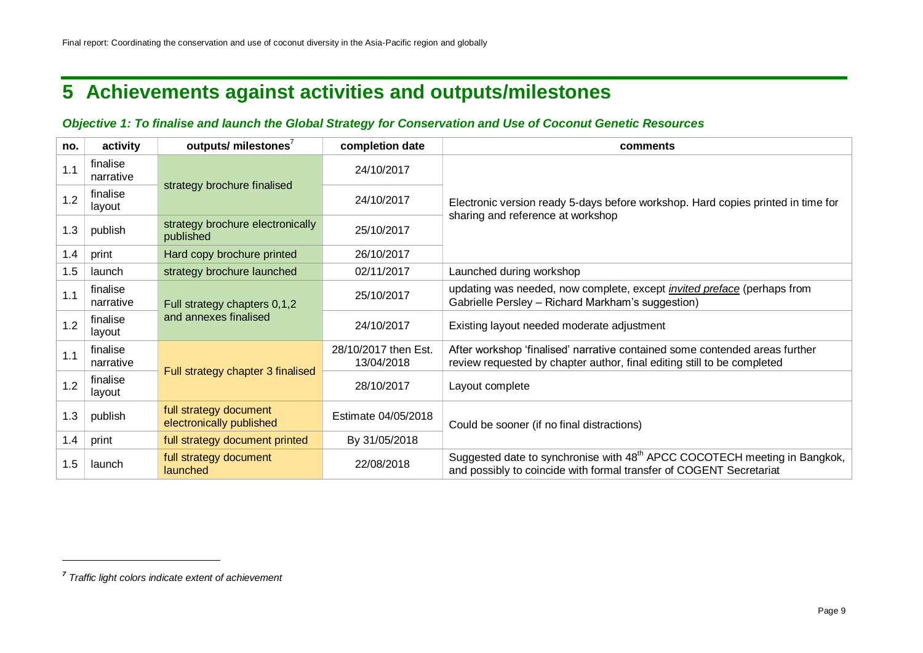# **5 Achievements against activities and outputs/milestones**

#### *Objective 1: To finalise and launch the Global Strategy for Conservation and Use of Coconut Genetic Resources*

<span id="page-13-0"></span>

| no. | activity              | outputs/ milestones <sup>7</sup>                   | completion date                    | comments                                                                                                                                                     |
|-----|-----------------------|----------------------------------------------------|------------------------------------|--------------------------------------------------------------------------------------------------------------------------------------------------------------|
| 1.1 | finalise<br>narrative |                                                    | 24/10/2017                         |                                                                                                                                                              |
| 1.2 | finalise<br>layout    | strategy brochure finalised                        | 24/10/2017                         | Electronic version ready 5-days before workshop. Hard copies printed in time for                                                                             |
| 1.3 | publish               | strategy brochure electronically<br>published      | 25/10/2017                         | sharing and reference at workshop                                                                                                                            |
| 1.4 | print                 | Hard copy brochure printed                         | 26/10/2017                         |                                                                                                                                                              |
| 1.5 | launch                | strategy brochure launched                         | 02/11/2017                         | Launched during workshop                                                                                                                                     |
| 1.1 | finalise<br>narrative | Full strategy chapters 0,1,2                       | 25/10/2017                         | updating was needed, now complete, except <i>invited preface</i> (perhaps from<br>Gabrielle Persley - Richard Markham's suggestion)                          |
| 1.2 | finalise<br>layout    | and annexes finalised                              | 24/10/2017                         | Existing layout needed moderate adjustment                                                                                                                   |
| 1.1 | finalise<br>narrative |                                                    | 28/10/2017 then Est.<br>13/04/2018 | After workshop 'finalised' narrative contained some contended areas further<br>review requested by chapter author, final editing still to be completed       |
| 1.2 | finalise<br>layout    | Full strategy chapter 3 finalised                  | 28/10/2017                         | Layout complete                                                                                                                                              |
| 1.3 | publish               | full strategy document<br>electronically published | Estimate 04/05/2018                | Could be sooner (if no final distractions)                                                                                                                   |
| 1.4 | print                 | full strategy document printed                     | By 31/05/2018                      |                                                                                                                                                              |
| 1.5 | launch                | full strategy document<br>launched                 | 22/08/2018                         | Suggested date to synchronise with 48 <sup>th</sup> APCC COCOTECH meeting in Bangkok,<br>and possibly to coincide with formal transfer of COGENT Secretariat |

*<sup>7</sup> Traffic light colors indicate extent of achievement*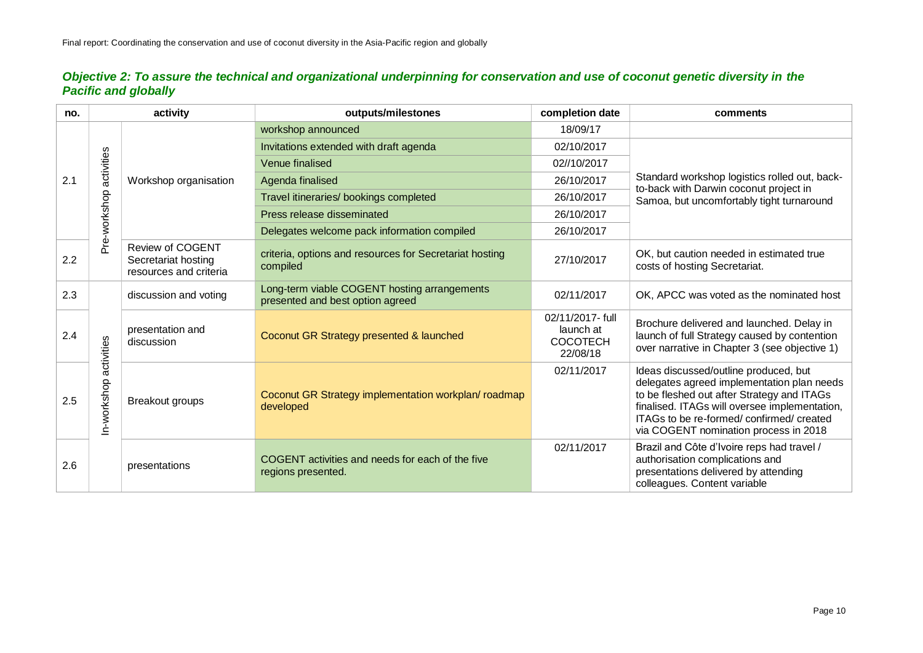#### *Objective 2: To assure the technical and organizational underpinning for conservation and use of coconut genetic diversity in the Pacific and globally*

| no. | activity     |                                                                          | outputs/milestones                                                               | completion date                                              | comments                                                                                                                                                                                                                                                               |
|-----|--------------|--------------------------------------------------------------------------|----------------------------------------------------------------------------------|--------------------------------------------------------------|------------------------------------------------------------------------------------------------------------------------------------------------------------------------------------------------------------------------------------------------------------------------|
|     |              |                                                                          | workshop announced                                                               | 18/09/17                                                     |                                                                                                                                                                                                                                                                        |
|     |              |                                                                          | Invitations extended with draft agenda                                           | 02/10/2017                                                   |                                                                                                                                                                                                                                                                        |
|     | activities   |                                                                          | Venue finalised                                                                  | 02//10/2017                                                  |                                                                                                                                                                                                                                                                        |
| 2.1 |              | Workshop organisation                                                    | Agenda finalised                                                                 | 26/10/2017                                                   | Standard workshop logistics rolled out, back-                                                                                                                                                                                                                          |
|     |              |                                                                          | Travel itineraries/ bookings completed                                           | 26/10/2017                                                   | to-back with Darwin coconut project in<br>Samoa, but uncomfortably tight turnaround                                                                                                                                                                                    |
|     |              |                                                                          | Press release disseminated                                                       | 26/10/2017                                                   |                                                                                                                                                                                                                                                                        |
|     | Pre-workshop |                                                                          | Delegates welcome pack information compiled                                      | 26/10/2017                                                   |                                                                                                                                                                                                                                                                        |
| 2.2 |              | <b>Review of COGENT</b><br>Secretariat hosting<br>resources and criteria | criteria, options and resources for Secretariat hosting<br>compiled              | 27/10/2017                                                   | OK, but caution needed in estimated true<br>costs of hosting Secretariat.                                                                                                                                                                                              |
| 2.3 |              | discussion and voting                                                    | Long-term viable COGENT hosting arrangements<br>presented and best option agreed | 02/11/2017                                                   | OK, APCC was voted as the nominated host                                                                                                                                                                                                                               |
| 2.4 | activities   | presentation and<br>discussion                                           | Coconut GR Strategy presented & launched                                         | 02/11/2017- full<br>launch at<br><b>COCOTECH</b><br>22/08/18 | Brochure delivered and launched. Delay in<br>launch of full Strategy caused by contention<br>over narrative in Chapter 3 (see objective 1)                                                                                                                             |
| 2.5 | In-workshop  | Breakout groups                                                          | Coconut GR Strategy implementation workplan/roadmap<br>developed                 | 02/11/2017                                                   | Ideas discussed/outline produced, but<br>delegates agreed implementation plan needs<br>to be fleshed out after Strategy and ITAGs<br>finalised. ITAGs will oversee implementation,<br>ITAGs to be re-formed/confirmed/created<br>via COGENT nomination process in 2018 |
| 2.6 |              | presentations                                                            | COGENT activities and needs for each of the five<br>regions presented.           | 02/11/2017                                                   | Brazil and Côte d'Ivoire reps had travel /<br>authorisation complications and<br>presentations delivered by attending<br>colleagues. Content variable                                                                                                                  |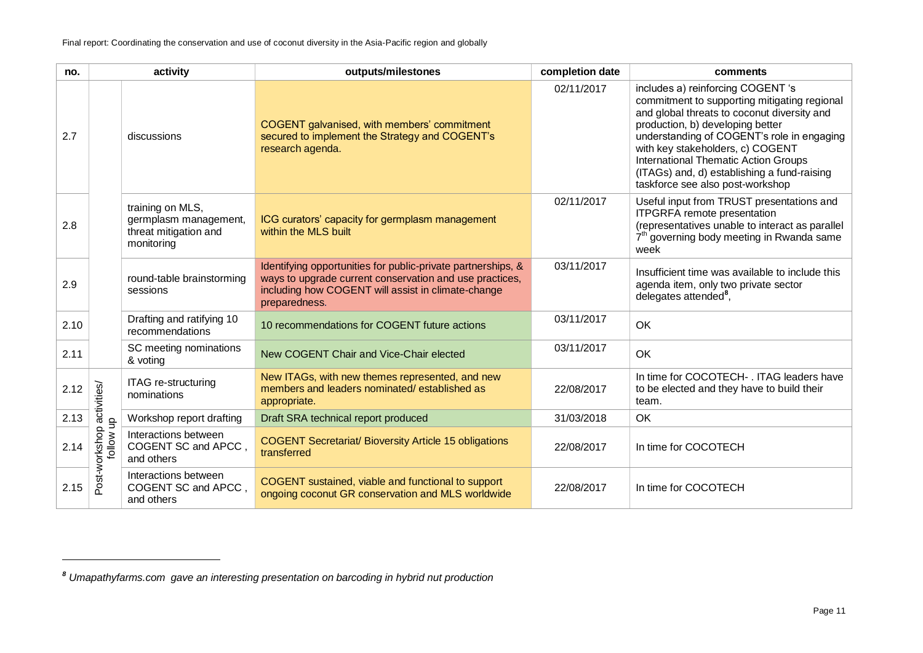| no.  |                            | activity                                                                         | outputs/milestones                                                                                                                                                                             | completion date | comments                                                                                                                                                                                                                                                                                                                                                                                 |
|------|----------------------------|----------------------------------------------------------------------------------|------------------------------------------------------------------------------------------------------------------------------------------------------------------------------------------------|-----------------|------------------------------------------------------------------------------------------------------------------------------------------------------------------------------------------------------------------------------------------------------------------------------------------------------------------------------------------------------------------------------------------|
| 2.7  |                            | discussions                                                                      | COGENT galvanised, with members' commitment<br>secured to implement the Strategy and COGENT's<br>research agenda.                                                                              | 02/11/2017      | includes a) reinforcing COGENT 's<br>commitment to supporting mitigating regional<br>and global threats to coconut diversity and<br>production, b) developing better<br>understanding of COGENT's role in engaging<br>with key stakeholders, c) COGENT<br><b>International Thematic Action Groups</b><br>(ITAGs) and, d) establishing a fund-raising<br>taskforce see also post-workshop |
| 2.8  |                            | training on MLS,<br>germplasm management,<br>threat mitigation and<br>monitoring | ICG curators' capacity for germplasm management<br>within the MLS built                                                                                                                        | 02/11/2017      | Useful input from TRUST presentations and<br>ITPGRFA remote presentation<br>(representatives unable to interact as parallel<br>7 <sup>th</sup> governing body meeting in Rwanda same<br>week                                                                                                                                                                                             |
| 2.9  |                            | round-table brainstorming<br>sessions                                            | Identifying opportunities for public-private partnerships, &<br>ways to upgrade current conservation and use practices,<br>including how COGENT will assist in climate-change<br>preparedness. | 03/11/2017      | Insufficient time was available to include this<br>agenda item, only two private sector<br>delegates attended <sup>8</sup> ,                                                                                                                                                                                                                                                             |
| 2.10 |                            | Drafting and ratifying 10<br>recommendations                                     | 10 recommendations for COGENT future actions                                                                                                                                                   | 03/11/2017      | OK                                                                                                                                                                                                                                                                                                                                                                                       |
| 2.11 |                            | SC meeting nominations<br>& voting                                               | New COGENT Chair and Vice-Chair elected                                                                                                                                                        | 03/11/2017      | <b>OK</b>                                                                                                                                                                                                                                                                                                                                                                                |
| 2.12 | activities/                | <b>ITAG</b> re-structuring<br>nominations                                        | New ITAGs, with new themes represented, and new<br>members and leaders nominated/established as<br>appropriate.                                                                                | 22/08/2017      | In time for COCOTECH- . ITAG leaders have<br>to be elected and they have to build their<br>team.                                                                                                                                                                                                                                                                                         |
| 2.13 |                            | Workshop report drafting                                                         | Draft SRA technical report produced                                                                                                                                                            | 31/03/2018      | OK                                                                                                                                                                                                                                                                                                                                                                                       |
| 2.14 | follow up<br>Post-workshop | Interactions between<br>COGENT SC and APCC,<br>and others                        | <b>COGENT Secretariat/ Bioversity Article 15 obligations</b><br>transferred                                                                                                                    | 22/08/2017      | In time for COCOTECH                                                                                                                                                                                                                                                                                                                                                                     |
| 2.15 |                            | Interactions between<br>COGENT SC and APCC,<br>and others                        | COGENT sustained, viable and functional to support<br>ongoing coconut GR conservation and MLS worldwide                                                                                        | 22/08/2017      | In time for COCOTECH                                                                                                                                                                                                                                                                                                                                                                     |

*<sup>8</sup> Umapathyfarms.com gave an interesting presentation on barcoding in hybrid nut production*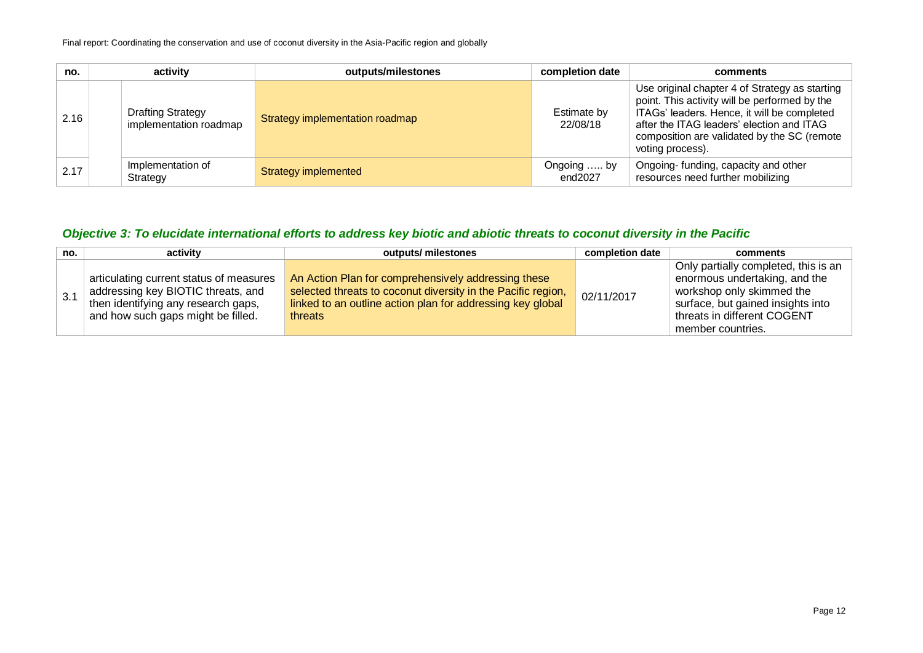| no.  | activity                                           | outputs/milestones              | completion date         | comments                                                                                                                                                                                                                                                       |
|------|----------------------------------------------------|---------------------------------|-------------------------|----------------------------------------------------------------------------------------------------------------------------------------------------------------------------------------------------------------------------------------------------------------|
| 2.16 | <b>Drafting Strategy</b><br>implementation roadmap | Strategy implementation roadmap | Estimate by<br>22/08/18 | Use original chapter 4 of Strategy as starting<br>point. This activity will be performed by the<br>ITAGs' leaders. Hence, it will be completed<br>after the ITAG leaders' election and ITAG<br>composition are validated by the SC (remote<br>voting process). |
| 2.17 | Implementation of<br>Strategy                      | <b>Strategy implemented</b>     | Ongoing  by<br>end2027  | Ongoing- funding, capacity and other<br>resources need further mobilizing                                                                                                                                                                                      |

#### *Objective 3: To elucidate international efforts to address key biotic and abiotic threats to coconut diversity in the Pacific*

| no. | activity                                                                                                                                                   | outputs/ milestones                                                                                                                                                                          | completion date | comments                                                                                                                                                                                    |
|-----|------------------------------------------------------------------------------------------------------------------------------------------------------------|----------------------------------------------------------------------------------------------------------------------------------------------------------------------------------------------|-----------------|---------------------------------------------------------------------------------------------------------------------------------------------------------------------------------------------|
|     | articulating current status of measures<br>addressing key BIOTIC threats, and<br>then identifying any research gaps,<br>and how such gaps might be filled. | An Action Plan for comprehensively addressing these<br>selected threats to coconut diversity in the Pacific region,<br>linked to an outline action plan for addressing key global<br>threats | 02/11/2017      | Only partially completed, this is an<br>enormous undertaking, and the<br>workshop only skimmed the<br>surface, but gained insights into<br>threats in different COGENT<br>member countries. |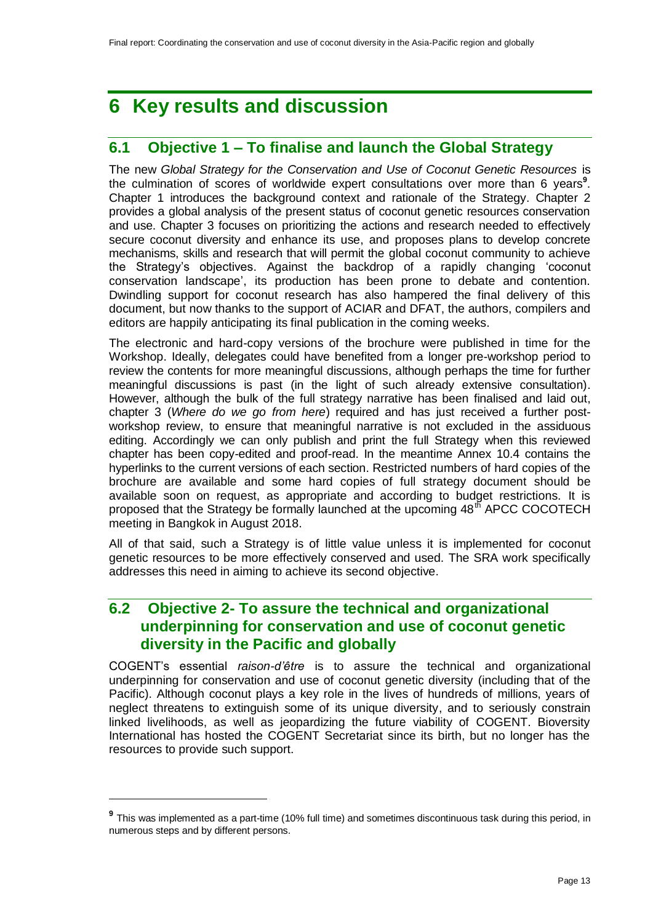# <span id="page-17-0"></span>**6 Key results and discussion**

## <span id="page-17-1"></span>**6.1 Objective 1 – To finalise and launch the Global Strategy**

The new *Global Strategy for the Conservation and Use of Coconut Genetic Resources* is the culmination of scores of worldwide expert consultations over more than 6 years**<sup>9</sup>** . Chapter 1 introduces the background context and rationale of the Strategy. Chapter 2 provides a global analysis of the present status of coconut genetic resources conservation and use. Chapter 3 focuses on prioritizing the actions and research needed to effectively secure coconut diversity and enhance its use, and proposes plans to develop concrete mechanisms, skills and research that will permit the global coconut community to achieve the Strategy's objectives. Against the backdrop of a rapidly changing 'coconut conservation landscape', its production has been prone to debate and contention. Dwindling support for coconut research has also hampered the final delivery of this document, but now thanks to the support of ACIAR and DFAT, the authors, compilers and editors are happily anticipating its final publication in the coming weeks.

The electronic and hard-copy versions of the brochure were published in time for the Workshop. Ideally, delegates could have benefited from a longer pre-workshop period to review the contents for more meaningful discussions, although perhaps the time for further meaningful discussions is past (in the light of such already extensive consultation). However, although the bulk of the full strategy narrative has been finalised and laid out, chapter 3 (*Where do we go from here*) required and has just received a further postworkshop review, to ensure that meaningful narrative is not excluded in the assiduous editing. Accordingly we can only publish and print the full Strategy when this reviewed chapter has been copy-edited and proof-read. In the meantime Annex 10.4 contains the hyperlinks to the current versions of each section. Restricted numbers of hard copies of the brochure are available and some hard copies of full strategy document should be available soon on request, as appropriate and according to budget restrictions. It is proposed that the Strategy be formally launched at the upcoming  $48<sup>th</sup>$  APCC COCOTECH meeting in Bangkok in August 2018.

All of that said, such a Strategy is of little value unless it is implemented for coconut genetic resources to be more effectively conserved and used. The SRA work specifically addresses this need in aiming to achieve its second objective.

# <span id="page-17-2"></span>**6.2 Objective 2- To assure the technical and organizational underpinning for conservation and use of coconut genetic diversity in the Pacific and globally**

COGENT's essential *raison-d'être* is to assure the technical and organizational underpinning for conservation and use of coconut genetic diversity (including that of the Pacific). Although coconut plays a key role in the lives of hundreds of millions, years of neglect threatens to extinguish some of its unique diversity, and to seriously constrain linked livelihoods, as well as jeopardizing the future viability of COGENT. Bioversity International has hosted the COGENT Secretariat since its birth, but no longer has the resources to provide such support.

-

<sup>&</sup>lt;sup>9</sup> This was implemented as a part-time (10% full time) and sometimes discontinuous task during this period, in numerous steps and by different persons.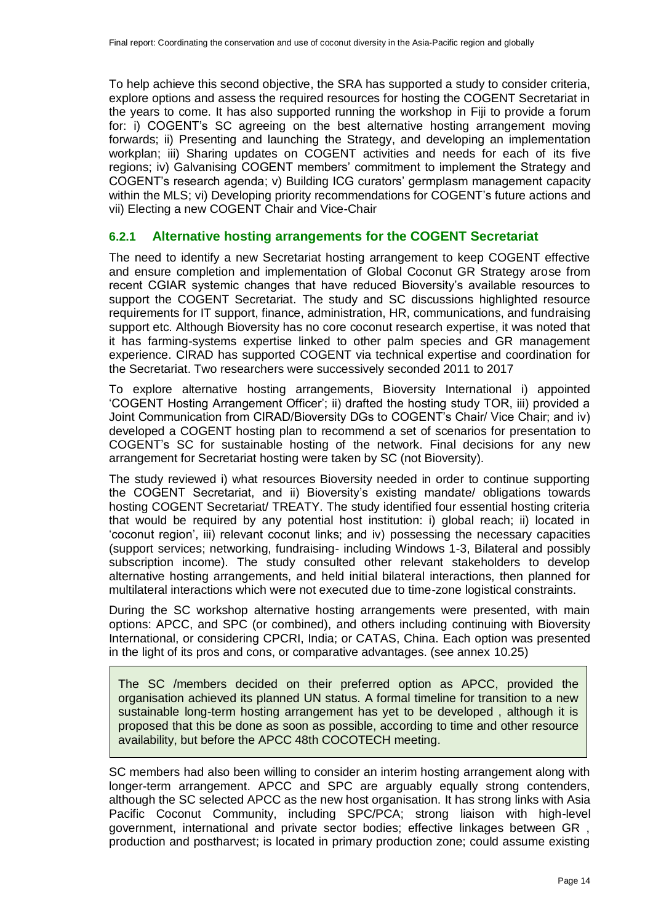To help achieve this second objective, the SRA has supported a study to consider criteria, explore options and assess the required resources for hosting the COGENT Secretariat in the years to come. It has also supported running the workshop in Fiji to provide a forum for: i) COGENT's SC agreeing on the best alternative hosting arrangement moving forwards; ii) Presenting and launching the Strategy, and developing an implementation workplan; iii) Sharing updates on COGENT activities and needs for each of its five regions; iv) Galvanising COGENT members' commitment to implement the Strategy and COGENT's research agenda; v) Building ICG curators' germplasm management capacity within the MLS; vi) Developing priority recommendations for COGENT's future actions and vii) Electing a new COGENT Chair and Vice-Chair

#### **6.2.1 Alternative hosting arrangements for the COGENT Secretariat**

The need to identify a new Secretariat hosting arrangement to keep COGENT effective and ensure completion and implementation of Global Coconut GR Strategy arose from recent CGIAR systemic changes that have reduced Bioversity's available resources to support the COGENT Secretariat. The study and SC discussions highlighted resource requirements for IT support, finance, administration, HR, communications, and fundraising support etc. Although Bioversity has no core coconut research expertise, it was noted that it has farming-systems expertise linked to other palm species and GR management experience. CIRAD has supported COGENT via technical expertise and coordination for the Secretariat. Two researchers were successively seconded 2011 to 2017

To explore alternative hosting arrangements, Bioversity International i) appointed 'COGENT Hosting Arrangement Officer'; ii) drafted the hosting study TOR, iii) provided a Joint Communication from CIRAD/Bioversity DGs to COGENT's Chair/ Vice Chair; and iv) developed a COGENT hosting plan to recommend a set of scenarios for presentation to COGENT's SC for sustainable hosting of the network. Final decisions for any new arrangement for Secretariat hosting were taken by SC (not Bioversity).

The study reviewed i) what resources Bioversity needed in order to continue supporting the COGENT Secretariat, and ii) Bioversity's existing mandate/ obligations towards hosting COGENT Secretariat/ TREATY. The study identified four essential hosting criteria that would be required by any potential host institution: i) global reach; ii) located in 'coconut region', iii) relevant coconut links; and iv) possessing the necessary capacities (support services; networking, fundraising- including Windows 1-3, Bilateral and possibly subscription income). The study consulted other relevant stakeholders to develop alternative hosting arrangements, and held initial bilateral interactions, then planned for multilateral interactions which were not executed due to time-zone logistical constraints.

During the SC workshop alternative hosting arrangements were presented, with main options: APCC, and SPC (or combined), and others including continuing with Bioversity International, or considering CPCRI, India; or CATAS, China. Each option was presented in the light of its pros and cons, or comparative advantages. (see annex 10.25)

The SC /members decided on their preferred option as APCC, provided the organisation achieved its planned UN status. A formal timeline for transition to a new sustainable long-term hosting arrangement has yet to be developed , although it is proposed that this be done as soon as possible, according to time and other resource availability, but before the APCC 48th COCOTECH meeting.

SC members had also been willing to consider an interim hosting arrangement along with longer-term arrangement. APCC and SPC are arguably equally strong contenders, although the SC selected APCC as the new host organisation. It has strong links with Asia Pacific Coconut Community, including SPC/PCA; strong liaison with high-level government, international and private sector bodies; effective linkages between GR , production and postharvest; is located in primary production zone; could assume existing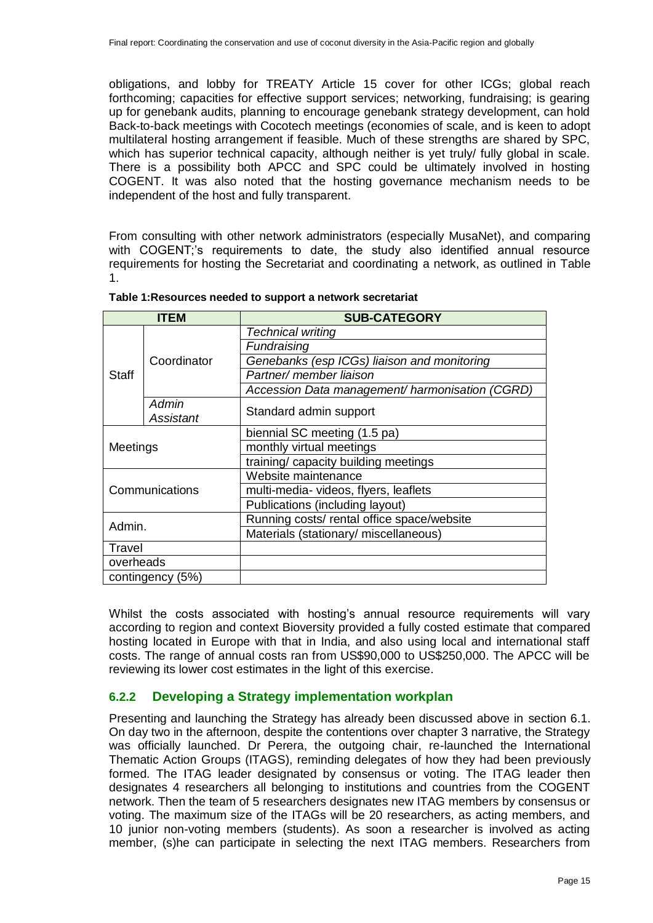obligations, and lobby for TREATY Article 15 cover for other ICGs; global reach forthcoming; capacities for effective support services; networking, fundraising; is gearing up for genebank audits, planning to encourage genebank strategy development, can hold Back-to-back meetings with Cocotech meetings (economies of scale, and is keen to adopt multilateral hosting arrangement if feasible. Much of these strengths are shared by SPC, which has superior technical capacity, although neither is yet truly/ fully global in scale. There is a possibility both APCC and SPC could be ultimately involved in hosting COGENT. It was also noted that the hosting governance mechanism needs to be independent of the host and fully transparent.

From consulting with other network administrators (especially MusaNet), and comparing with COGENT;'s requirements to date, the study also identified annual resource requirements for hosting the Secretariat and coordinating a network, as outlined in Table 1.

| <b>ITEM</b>  |                                                         | <b>SUB-CATEGORY</b>                             |
|--------------|---------------------------------------------------------|-------------------------------------------------|
|              |                                                         | <b>Technical writing</b>                        |
|              |                                                         | Fundraising                                     |
|              | Coordinator                                             | Genebanks (esp ICGs) liaison and monitoring     |
| <b>Staff</b> |                                                         | Partner/ member liaison                         |
|              |                                                         | Accession Data management/ harmonisation (CGRD) |
|              | Admin<br>Assistant                                      | Standard admin support                          |
|              |                                                         | biennial SC meeting (1.5 pa)                    |
| Meetings     |                                                         | monthly virtual meetings                        |
|              |                                                         | training/ capacity building meetings            |
|              |                                                         | Website maintenance                             |
|              | Communications<br>multi-media- videos, flyers, leaflets |                                                 |
|              |                                                         | Publications (including layout)                 |
| Admin.       |                                                         | Running costs/ rental office space/website      |
|              |                                                         | Materials (stationary/ miscellaneous)           |
| Travel       |                                                         |                                                 |
| overheads    |                                                         |                                                 |
|              | contingency (5%)                                        |                                                 |

**Table 1:Resources needed to support a network secretariat**

Whilst the costs associated with hosting's annual resource requirements will vary according to region and context Bioversity provided a fully costed estimate that compared hosting located in Europe with that in India, and also using local and international staff costs. The range of annual costs ran from US\$90,000 to US\$250,000. The APCC will be reviewing its lower cost estimates in the light of this exercise.

#### **6.2.2 Developing a Strategy implementation workplan**

Presenting and launching the Strategy has already been discussed above in section 6.1. On day two in the afternoon, despite the contentions over chapter 3 narrative, the Strategy was officially launched. Dr Perera, the outgoing chair, re-launched the International Thematic Action Groups (ITAGS), reminding delegates of how they had been previously formed. The ITAG leader designated by consensus or voting. The ITAG leader then designates 4 researchers all belonging to institutions and countries from the COGENT network. Then the team of 5 researchers designates new ITAG members by consensus or voting. The maximum size of the ITAGs will be 20 researchers, as acting members, and 10 junior non-voting members (students). As soon a researcher is involved as acting member, (s)he can participate in selecting the next ITAG members. Researchers from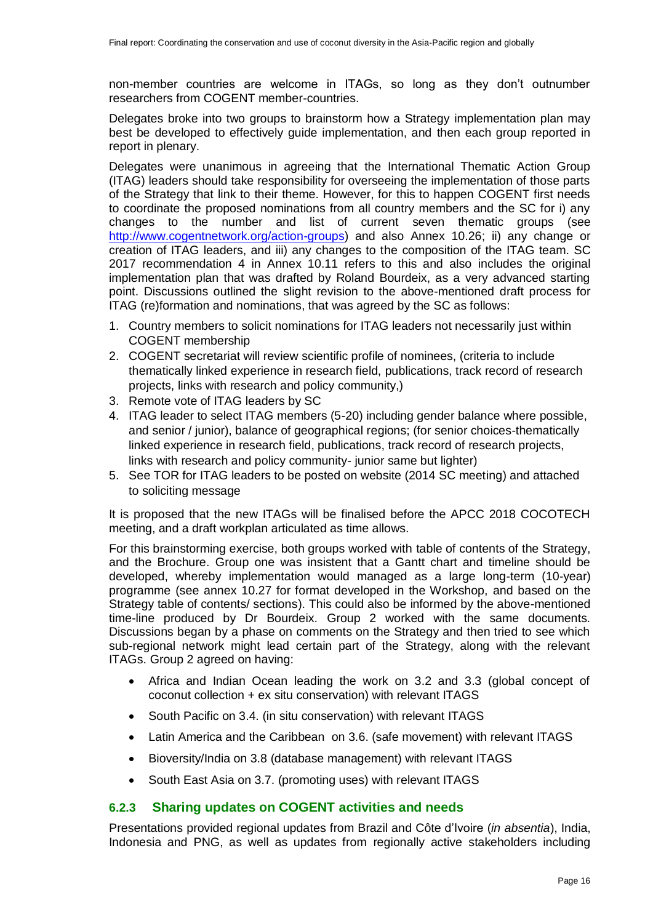non-member countries are welcome in ITAGs, so long as they don't outnumber researchers from COGENT member-countries.

Delegates broke into two groups to brainstorm how a Strategy implementation plan may best be developed to effectively guide implementation, and then each group reported in report in plenary.

Delegates were unanimous in agreeing that the International Thematic Action Group (ITAG) leaders should take responsibility for overseeing the implementation of those parts of the Strategy that link to their theme. However, for this to happen COGENT first needs to coordinate the proposed nominations from all country members and the SC for i) any changes to the number and list of current seven thematic groups (see [http://www.cogentnetwork.org/action-groups\)](http://www.cogentnetwork.org/action-groups) and also Annex 10.26; ii) any change or creation of ITAG leaders, and iii) any changes to the composition of the ITAG team. SC 2017 recommendation 4 in Annex 10.11 refers to this and also includes the original implementation plan that was drafted by Roland Bourdeix, as a very advanced starting point. Discussions outlined the slight revision to the above-mentioned draft process for ITAG (re)formation and nominations, that was agreed by the SC as follows:

- 1. Country members to solicit nominations for ITAG leaders not necessarily just within COGENT membership
- 2. COGENT secretariat will review scientific profile of nominees, (criteria to include thematically linked experience in research field, publications, track record of research projects, links with research and policy community,)
- 3. Remote vote of ITAG leaders by SC
- 4. ITAG leader to select ITAG members (5-20) including gender balance where possible, and senior / junior), balance of geographical regions; (for senior choices-thematically linked experience in research field, publications, track record of research projects, links with research and policy community- junior same but lighter)
- 5. See TOR for ITAG leaders to be posted on website (2014 SC meeting) and attached to soliciting message

It is proposed that the new ITAGs will be finalised before the APCC 2018 COCOTECH meeting, and a draft workplan articulated as time allows.

For this brainstorming exercise, both groups worked with table of contents of the Strategy, and the Brochure. Group one was insistent that a Gantt chart and timeline should be developed, whereby implementation would managed as a large long-term (10-year) programme (see annex 10.27 for format developed in the Workshop, and based on the Strategy table of contents/ sections). This could also be informed by the above-mentioned time-line produced by Dr Bourdeix. Group 2 worked with the same documents. Discussions began by a phase on comments on the Strategy and then tried to see which sub-regional network might lead certain part of the Strategy, along with the relevant ITAGs. Group 2 agreed on having:

- Africa and Indian Ocean leading the work on 3.2 and 3.3 (global concept of coconut collection + ex situ conservation) with relevant ITAGS
- South Pacific on 3.4. (in situ conservation) with relevant ITAGS
- Latin America and the Caribbean on 3.6. (safe movement) with relevant ITAGS
- Bioversity/India on 3.8 (database management) with relevant ITAGS
- South East Asia on 3.7. (promoting uses) with relevant ITAGS

#### **6.2.3 Sharing updates on COGENT activities and needs**

Presentations provided regional updates from Brazil and Côte d'Ivoire (*in absentia*), India, Indonesia and PNG, as well as updates from regionally active stakeholders including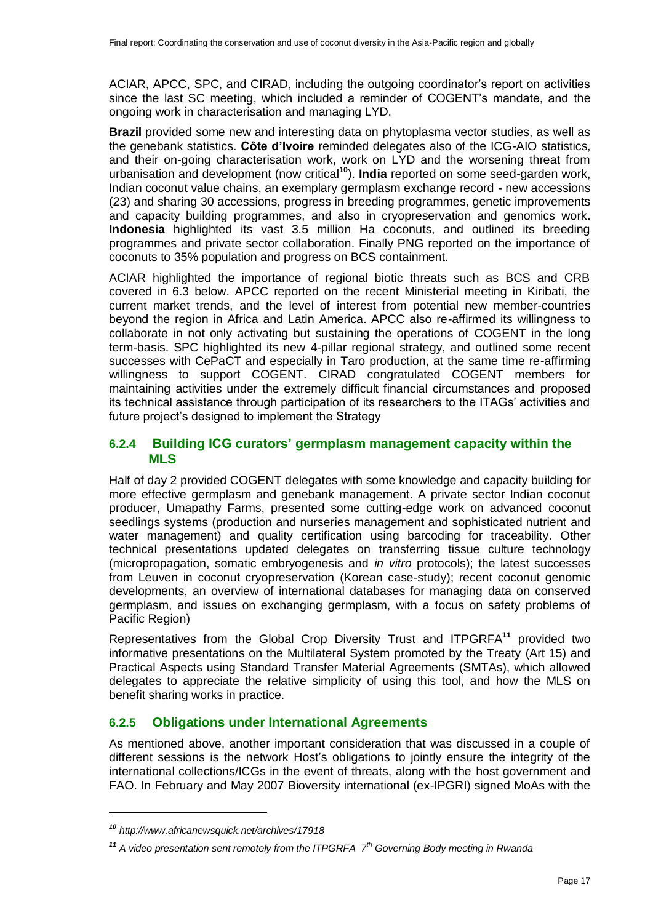ACIAR, APCC, SPC, and CIRAD, including the outgoing coordinator's report on activities since the last SC meeting, which included a reminder of COGENT's mandate, and the ongoing work in characterisation and managing LYD.

**Brazil** provided some new and interesting data on phytoplasma vector studies, as well as the genebank statistics. **Côte d'Ivoire** reminded delegates also of the ICG-AIO statistics, and their on-going characterisation work, work on LYD and the worsening threat from urbanisation and development (now critical**<sup>10</sup>**). **India** reported on some seed-garden work, Indian coconut value chains, an exemplary germplasm exchange record - new accessions (23) and sharing 30 accessions, progress in breeding programmes, genetic improvements and capacity building programmes, and also in cryopreservation and genomics work. **Indonesia** highlighted its vast 3.5 million Ha coconuts, and outlined its breeding programmes and private sector collaboration. Finally PNG reported on the importance of coconuts to 35% population and progress on BCS containment.

ACIAR highlighted the importance of regional biotic threats such as BCS and CRB covered in 6.3 below. APCC reported on the recent Ministerial meeting in Kiribati, the current market trends, and the level of interest from potential new member-countries beyond the region in Africa and Latin America. APCC also re-affirmed its willingness to collaborate in not only activating but sustaining the operations of COGENT in the long term-basis. SPC highlighted its new 4-pillar regional strategy, and outlined some recent successes with CePaCT and especially in Taro production, at the same time re-affirming willingness to support COGENT. CIRAD congratulated COGENT members for maintaining activities under the extremely difficult financial circumstances and proposed its technical assistance through participation of its researchers to the ITAGs' activities and future project's designed to implement the Strategy

#### **6.2.4 Building ICG curators' germplasm management capacity within the MLS**

Half of day 2 provided COGENT delegates with some knowledge and capacity building for more effective germplasm and genebank management. A private sector Indian coconut producer, Umapathy Farms, presented some cutting-edge work on advanced coconut seedlings systems (production and nurseries management and sophisticated nutrient and water management) and quality certification using barcoding for traceability. Other technical presentations updated delegates on transferring tissue culture technology (micropropagation, somatic embryogenesis and *in vitro* protocols); the latest successes from Leuven in coconut cryopreservation (Korean case-study); recent coconut genomic developments, an overview of international databases for managing data on conserved germplasm, and issues on exchanging germplasm, with a focus on safety problems of Pacific Region)

Representatives from the Global Crop Diversity Trust and ITPGRFA**<sup>11</sup>** provided two informative presentations on the Multilateral System promoted by the Treaty (Art 15) and Practical Aspects using Standard Transfer Material Agreements (SMTAs), which allowed delegates to appreciate the relative simplicity of using this tool, and how the MLS on benefit sharing works in practice.

#### **6.2.5 Obligations under International Agreements**

As mentioned above, another important consideration that was discussed in a couple of different sessions is the network Host's obligations to jointly ensure the integrity of the international collections/ICGs in the event of threats, along with the host government and FAO. In February and May 2007 Bioversity international (ex-IPGRI) signed MoAs with the

-

*<sup>10</sup> http://www.africanewsquick.net/archives/17918*

*<sup>11</sup> A video presentation sent remotely from the ITPGRFA 7th Governing Body meeting in Rwanda*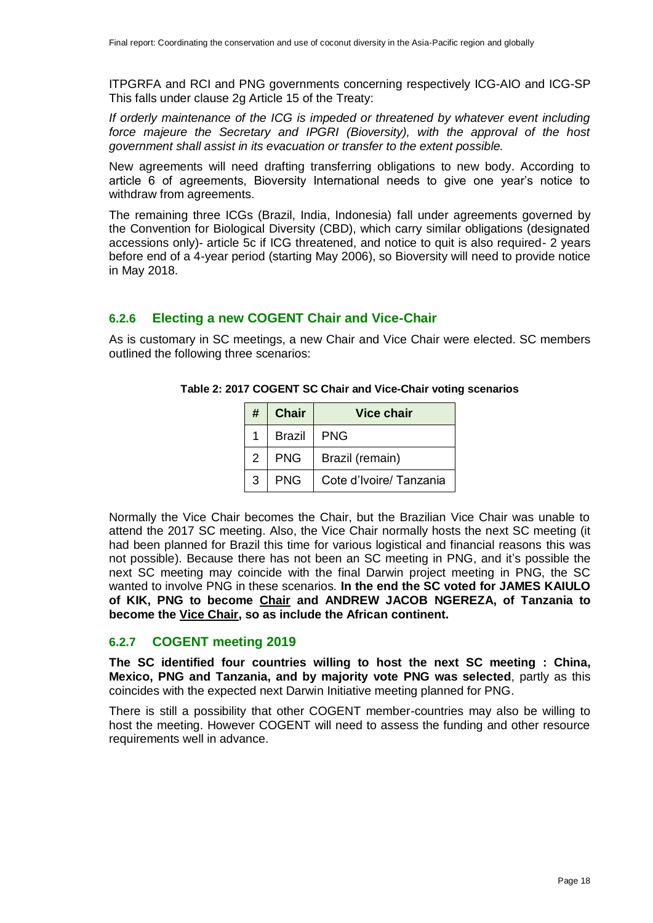ITPGRFA and RCI and PNG governments concerning respectively ICG-AIO and ICG-SP This falls under clause 2g Article 15 of the Treaty:

*If orderly maintenance of the ICG is impeded or threatened by whatever event including force majeure the Secretary and IPGRI (Bioversity), with the approval of the host government shall assist in its evacuation or transfer to the extent possible.*

New agreements will need drafting transferring obligations to new body. According to article 6 of agreements, Bioversity International needs to give one year's notice to withdraw from agreements.

The remaining three ICGs (Brazil, India, Indonesia) fall under agreements governed by the Convention for Biological Diversity (CBD), which carry similar obligations (designated accessions only)- article 5c if ICG threatened, and notice to quit is also required- 2 years before end of a 4-year period (starting May 2006), so Bioversity will need to provide notice in May 2018.

#### **6.2.6 Electing a new COGENT Chair and Vice-Chair**

As is customary in SC meetings, a new Chair and Vice Chair were elected. SC members outlined the following three scenarios:

| #             | <b>Chair</b>  | <b>Vice chair</b>       |
|---------------|---------------|-------------------------|
|               | <b>Brazil</b> | <b>PNG</b>              |
| $\mathcal{P}$ | <b>PNG</b>    | Brazil (remain)         |
| 3             | PNG           | Cote d'Ivoire/ Tanzania |

**Table 2: 2017 COGENT SC Chair and Vice-Chair voting scenarios**

Normally the Vice Chair becomes the Chair, but the Brazilian Vice Chair was unable to attend the 2017 SC meeting. Also, the Vice Chair normally hosts the next SC meeting (it had been planned for Brazil this time for various logistical and financial reasons this was not possible). Because there has not been an SC meeting in PNG, and it's possible the next SC meeting may coincide with the final Darwin project meeting in PNG, the SC wanted to involve PNG in these scenarios. **In the end the SC voted for JAMES KAIULO of KIK, PNG to become Chair and ANDREW JACOB NGEREZA, of Tanzania to become the Vice Chair, so as include the African continent.** 

#### **6.2.7 COGENT meeting 2019**

**The SC identified four countries willing to host the next SC meeting : China, Mexico, PNG and Tanzania, and by majority vote PNG was selected**, partly as this coincides with the expected next Darwin Initiative meeting planned for PNG.

There is still a possibility that other COGENT member-countries may also be willing to host the meeting. However COGENT will need to assess the funding and other resource requirements well in advance.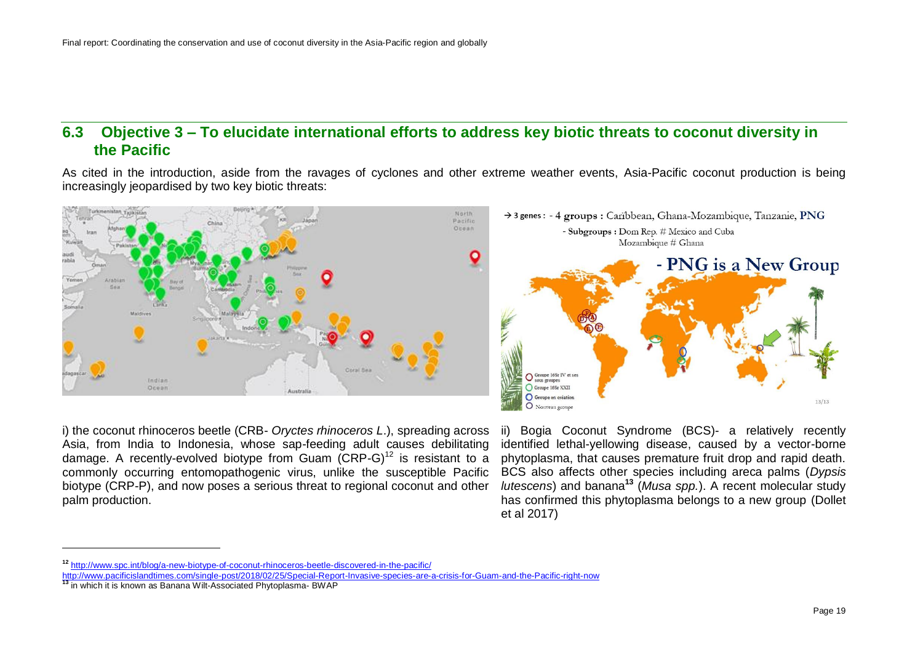### **6.3 Objective 3 – To elucidate international efforts to address key biotic threats to coconut diversity in the Pacific**

As cited in the introduction, aside from the ravages of cyclones and other extreme weather events, Asia-Pacific coconut production is being increasingly jeopardised by two key biotic threats:



<span id="page-23-0"></span>i) the coconut rhinoceros beetle (CRB- *Oryctes rhinoceros L*.), spreading across Asia, from India to Indonesia, whose sap-feeding adult causes debilitating damage. A recently-evolved biotype from Guam  $(CRP-G)^{12}$  is resistant to a commonly occurring entomopathogenic virus, unlike the susceptible Pacific biotype (CRP-P), and now poses a serious threat to regional coconut and other palm production.

ii) Bogia Coconut Syndrome (BCS)- a relatively recently identified lethal-yellowing disease, caused by a vector-borne phytoplasma, that causes premature fruit drop and rapid death. BCS also affects other species including areca palms (*Dypsis lutescens*) and banana**<sup>13</sup>** (*Musa spp.*). A recent molecular study has confirmed this phytoplasma belongs to a new group (Dollet et al 2017)

 $13/13$ 

**<sup>12</sup>** <http://www.spc.int/blog/a-new-biotype-of-coconut-rhinoceros-beetle-discovered-in-the-pacific/>

<http://www.pacificislandtimes.com/single-post/2018/02/25/Special-Report-Invasive-species-are-a-crisis-for-Guam-and-the-Pacific-right-now>

**<sup>13</sup>** in which it is known as Banana Wilt-Associated Phytoplasma- BWAP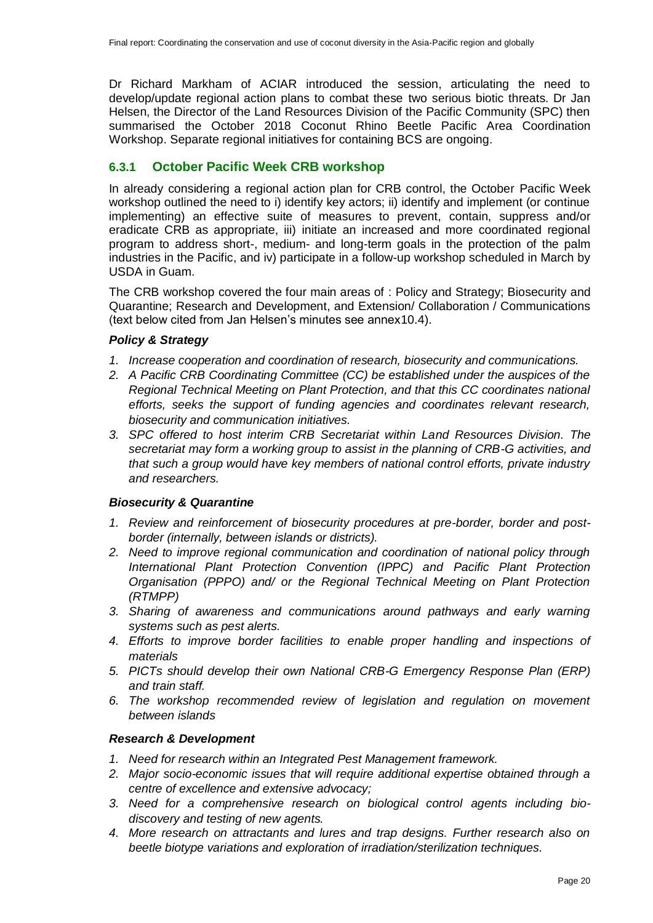Dr Richard Markham of ACIAR introduced the session, articulating the need to develop/update regional action plans to combat these two serious biotic threats. Dr Jan Helsen, the Director of the Land Resources Division of the Pacific Community (SPC) then summarised the October 2018 Coconut Rhino Beetle Pacific Area Coordination Workshop. Separate regional initiatives for containing BCS are ongoing.

#### **6.3.1 October Pacific Week CRB workshop**

In already considering a regional action plan for CRB control, the October Pacific Week workshop outlined the need to i) identify key actors; ii) identify and implement (or continue implementing) an effective suite of measures to prevent, contain, suppress and/or eradicate CRB as appropriate, iii) initiate an increased and more coordinated regional program to address short-, medium- and long-term goals in the protection of the palm industries in the Pacific, and iv) participate in a follow-up workshop scheduled in March by USDA in Guam.

The CRB workshop covered the four main areas of : Policy and Strategy; Biosecurity and Quarantine; Research and Development, and Extension/ Collaboration / Communications (text below cited from Jan Helsen's minutes see annex10.4).

#### *Policy & Strategy*

- *1. Increase cooperation and coordination of research, biosecurity and communications.*
- *2. A Pacific CRB Coordinating Committee (CC) be established under the auspices of the Regional Technical Meeting on Plant Protection, and that this CC coordinates national efforts, seeks the support of funding agencies and coordinates relevant research, biosecurity and communication initiatives.*
- *3. SPC offered to host interim CRB Secretariat within Land Resources Division. The secretariat may form a working group to assist in the planning of CRB-G activities, and that such a group would have key members of national control efforts, private industry and researchers.*

#### *Biosecurity & Quarantine*

- *1. Review and reinforcement of biosecurity procedures at pre-border, border and postborder (internally, between islands or districts).*
- *2. Need to improve regional communication and coordination of national policy through International Plant Protection Convention (IPPC) and Pacific Plant Protection Organisation (PPPO) and/ or the Regional Technical Meeting on Plant Protection (RTMPP)*
- *3. Sharing of awareness and communications around pathways and early warning systems such as pest alerts.*
- *4. Efforts to improve border facilities to enable proper handling and inspections of materials*
- *5. PICTs should develop their own National CRB-G Emergency Response Plan (ERP) and train staff.*
- *6. The workshop recommended review of legislation and regulation on movement between islands*

#### *Research & Development*

- *1. Need for research within an Integrated Pest Management framework.*
- *2. Major socio-economic issues that will require additional expertise obtained through a centre of excellence and extensive advocacy;*
- *3. Need for a comprehensive research on biological control agents including biodiscovery and testing of new agents.*
- *4. More research on attractants and lures and trap designs. Further research also on beetle biotype variations and exploration of irradiation/sterilization techniques.*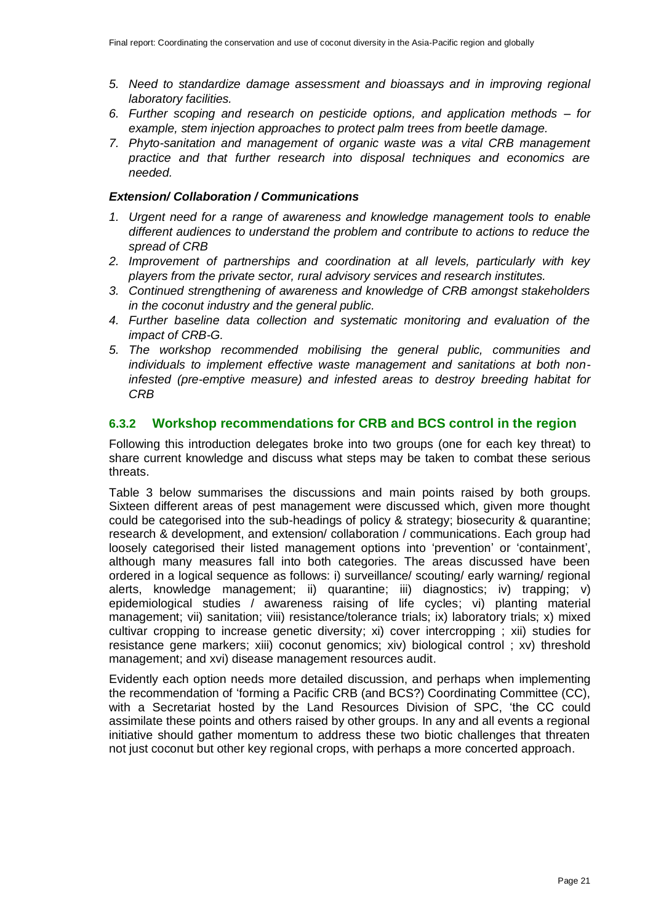- *5. Need to standardize damage assessment and bioassays and in improving regional laboratory facilities.*
- *6. Further scoping and research on pesticide options, and application methods – for example, stem injection approaches to protect palm trees from beetle damage.*
- *7. Phyto-sanitation and management of organic waste was a vital CRB management practice and that further research into disposal techniques and economics are needed.*

#### *Extension/ Collaboration / Communications*

- *1. Urgent need for a range of awareness and knowledge management tools to enable different audiences to understand the problem and contribute to actions to reduce the spread of CRB*
- *2. Improvement of partnerships and coordination at all levels, particularly with key players from the private sector, rural advisory services and research institutes.*
- *3. Continued strengthening of awareness and knowledge of CRB amongst stakeholders in the coconut industry and the general public.*
- *4. Further baseline data collection and systematic monitoring and evaluation of the impact of CRB-G.*
- *5. The workshop recommended mobilising the general public, communities and individuals to implement effective waste management and sanitations at both noninfested (pre-emptive measure) and infested areas to destroy breeding habitat for CRB*

#### **6.3.2 Workshop recommendations for CRB and BCS control in the region**

Following this introduction delegates broke into two groups (one for each key threat) to share current knowledge and discuss what steps may be taken to combat these serious threats.

Table 3 below summarises the discussions and main points raised by both groups. Sixteen different areas of pest management were discussed which, given more thought could be categorised into the sub-headings of policy & strategy; biosecurity & quarantine; research & development, and extension/ collaboration / communications. Each group had loosely categorised their listed management options into 'prevention' or 'containment', although many measures fall into both categories. The areas discussed have been ordered in a logical sequence as follows: i) surveillance/ scouting/ early warning/ regional alerts, knowledge management; ii) quarantine; iii) diagnostics; iv) trapping; v) epidemiological studies / awareness raising of life cycles; vi) planting material management; vii) sanitation; viii) resistance/tolerance trials; ix) laboratory trials; x) mixed cultivar cropping to increase genetic diversity; xi) cover intercropping ; xii) studies for resistance gene markers; xiii) coconut genomics; xiv) biological control ; xv) threshold management; and xvi) disease management resources audit.

Evidently each option needs more detailed discussion, and perhaps when implementing the recommendation of 'forming a Pacific CRB (and BCS?) Coordinating Committee (CC), with a Secretariat hosted by the Land Resources Division of SPC, 'the CC could assimilate these points and others raised by other groups. In any and all events a regional initiative should gather momentum to address these two biotic challenges that threaten not just coconut but other key regional crops, with perhaps a more concerted approach.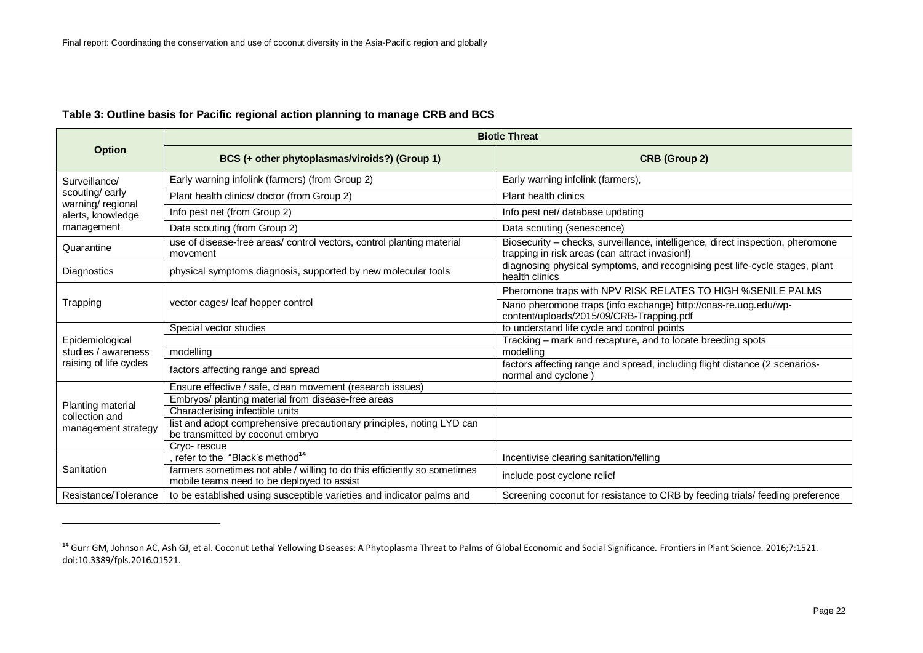|                                    | <b>Biotic Threat</b>                                                                                                   |                                                                                                                                  |  |  |
|------------------------------------|------------------------------------------------------------------------------------------------------------------------|----------------------------------------------------------------------------------------------------------------------------------|--|--|
| <b>Option</b>                      | BCS (+ other phytoplasmas/viroids?) (Group 1)                                                                          | <b>CRB (Group 2)</b>                                                                                                             |  |  |
| Surveillance/                      | Early warning infolink (farmers) (from Group 2)                                                                        | Early warning infolink (farmers),                                                                                                |  |  |
| scouting/early<br>warning/regional | Plant health clinics/ doctor (from Group 2)                                                                            | Plant health clinics                                                                                                             |  |  |
| alerts, knowledge                  | Info pest net (from Group 2)                                                                                           | Info pest net/ database updating                                                                                                 |  |  |
| management                         | Data scouting (from Group 2)                                                                                           | Data scouting (senescence)                                                                                                       |  |  |
| Quarantine                         | use of disease-free areas/ control vectors, control planting material<br>movement                                      | Biosecurity - checks, surveillance, intelligence, direct inspection, pheromone<br>trapping in risk areas (can attract invasion!) |  |  |
| Diagnostics                        | physical symptoms diagnosis, supported by new molecular tools                                                          | diagnosing physical symptoms, and recognising pest life-cycle stages, plant<br>health clinics                                    |  |  |
|                                    |                                                                                                                        | Pheromone traps with NPV RISK RELATES TO HIGH %SENILE PALMS                                                                      |  |  |
| Trapping                           | vector cages/ leaf hopper control                                                                                      | Nano pheromone traps (info exchange) http://cnas-re.uog.edu/wp-<br>content/uploads/2015/09/CRB-Trapping.pdf                      |  |  |
|                                    | Special vector studies                                                                                                 | to understand life cycle and control points                                                                                      |  |  |
| Epidemiological                    |                                                                                                                        | Tracking – mark and recapture, and to locate breeding spots                                                                      |  |  |
| studies / awareness                | modelling                                                                                                              | modelling                                                                                                                        |  |  |
| raising of life cycles             | factors affecting range and spread                                                                                     | factors affecting range and spread, including flight distance (2 scenarios-<br>normal and cyclone)                               |  |  |
|                                    | Ensure effective / safe, clean movement (research issues)                                                              |                                                                                                                                  |  |  |
| <b>Planting material</b>           | Embryos/ planting material from disease-free areas                                                                     |                                                                                                                                  |  |  |
| collection and                     | Characterising infectible units                                                                                        |                                                                                                                                  |  |  |
| management strategy                | list and adopt comprehensive precautionary principles, noting LYD can<br>be transmitted by coconut embryo              |                                                                                                                                  |  |  |
|                                    | Crvo-rescue                                                                                                            |                                                                                                                                  |  |  |
|                                    | refer to the "Black's method <sup>14</sup>                                                                             | Incentivise clearing sanitation/felling                                                                                          |  |  |
| Sanitation                         | farmers sometimes not able / willing to do this efficiently so sometimes<br>mobile teams need to be deployed to assist | include post cyclone relief                                                                                                      |  |  |
| Resistance/Tolerance               | to be established using susceptible varieties and indicator palms and                                                  | Screening coconut for resistance to CRB by feeding trials/feeding preference                                                     |  |  |

#### **Table 3: Outline basis for Pacific regional action planning to manage CRB and BCS**

<sup>&</sup>lt;sup>14</sup> Gurr GM, Johnson AC, Ash GJ, et al. Coconut Lethal Yellowing Diseases: A Phytoplasma Threat to Palms of Global Economic and Social Significance. Frontiers in Plant Science. 2016;7:1521. doi:10.3389/fpls.2016.01521.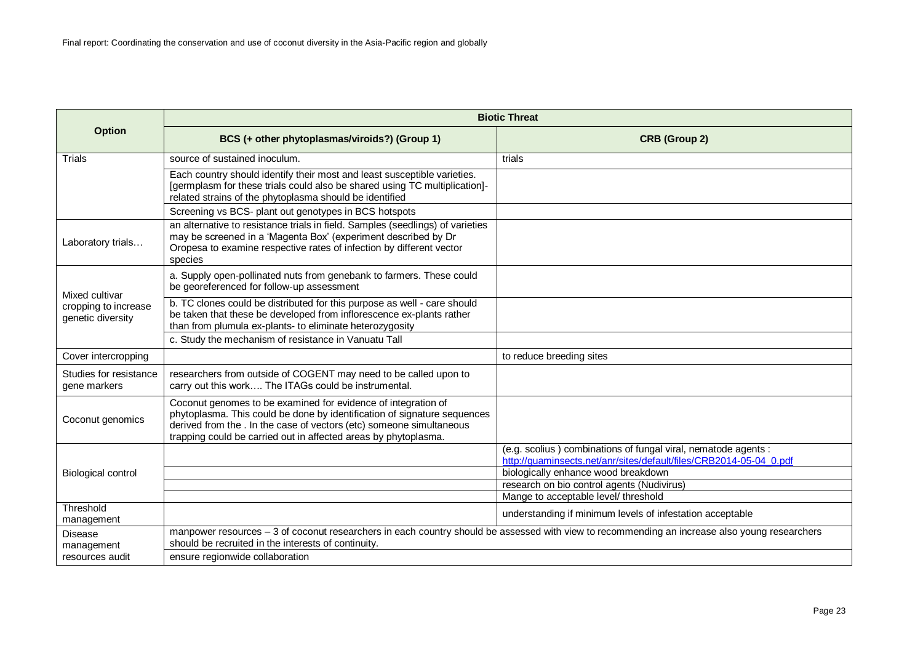|                                           | <b>Biotic Threat</b>                                                                                                                                                                                                                                                                 |                                                                                                                                      |  |  |  |  |
|-------------------------------------------|--------------------------------------------------------------------------------------------------------------------------------------------------------------------------------------------------------------------------------------------------------------------------------------|--------------------------------------------------------------------------------------------------------------------------------------|--|--|--|--|
| <b>Option</b>                             | BCS (+ other phytoplasmas/viroids?) (Group 1)                                                                                                                                                                                                                                        | <b>CRB (Group 2)</b>                                                                                                                 |  |  |  |  |
| Trials                                    | source of sustained inoculum.                                                                                                                                                                                                                                                        | trials                                                                                                                               |  |  |  |  |
|                                           | Each country should identify their most and least susceptible varieties.<br>[germplasm for these trials could also be shared using TC multiplication]-<br>related strains of the phytoplasma should be identified                                                                    |                                                                                                                                      |  |  |  |  |
|                                           | Screening vs BCS- plant out genotypes in BCS hotspots                                                                                                                                                                                                                                |                                                                                                                                      |  |  |  |  |
| Laboratory trials                         | an alternative to resistance trials in field. Samples (seedlings) of varieties<br>may be screened in a 'Magenta Box' (experiment described by Dr<br>Oropesa to examine respective rates of infection by different vector<br>species                                                  |                                                                                                                                      |  |  |  |  |
| Mixed cultivar                            | a. Supply open-pollinated nuts from genebank to farmers. These could<br>be georeferenced for follow-up assessment                                                                                                                                                                    |                                                                                                                                      |  |  |  |  |
| cropping to increase<br>genetic diversity | b. TC clones could be distributed for this purpose as well - care should<br>be taken that these be developed from inflorescence ex-plants rather<br>than from plumula ex-plants- to eliminate heterozygosity                                                                         |                                                                                                                                      |  |  |  |  |
|                                           | c. Study the mechanism of resistance in Vanuatu Tall                                                                                                                                                                                                                                 |                                                                                                                                      |  |  |  |  |
| Cover intercropping                       |                                                                                                                                                                                                                                                                                      | to reduce breeding sites                                                                                                             |  |  |  |  |
| Studies for resistance<br>gene markers    | researchers from outside of COGENT may need to be called upon to<br>carry out this work The ITAGs could be instrumental.                                                                                                                                                             |                                                                                                                                      |  |  |  |  |
| Coconut genomics                          | Coconut genomes to be examined for evidence of integration of<br>phytoplasma. This could be done by identification of signature sequences<br>derived from the . In the case of vectors (etc) someone simultaneous<br>trapping could be carried out in affected areas by phytoplasma. |                                                                                                                                      |  |  |  |  |
| Biological control                        |                                                                                                                                                                                                                                                                                      | (e.g. scolius) combinations of fungal viral, nematode agents :<br>http://quaminsects.net/anr/sites/default/files/CRB2014-05-04 0.pdf |  |  |  |  |
|                                           |                                                                                                                                                                                                                                                                                      | biologically enhance wood breakdown                                                                                                  |  |  |  |  |
|                                           |                                                                                                                                                                                                                                                                                      | research on bio control agents (Nudivirus)<br>Mange to acceptable level/ threshold                                                   |  |  |  |  |
| Threshold<br>management                   |                                                                                                                                                                                                                                                                                      | understanding if minimum levels of infestation acceptable                                                                            |  |  |  |  |
| <b>Disease</b><br>management              | manpower resources - 3 of coconut researchers in each country should be assessed with view to recommending an increase also young researchers<br>should be recruited in the interests of continuity.                                                                                 |                                                                                                                                      |  |  |  |  |
| resources audit                           | ensure regionwide collaboration                                                                                                                                                                                                                                                      |                                                                                                                                      |  |  |  |  |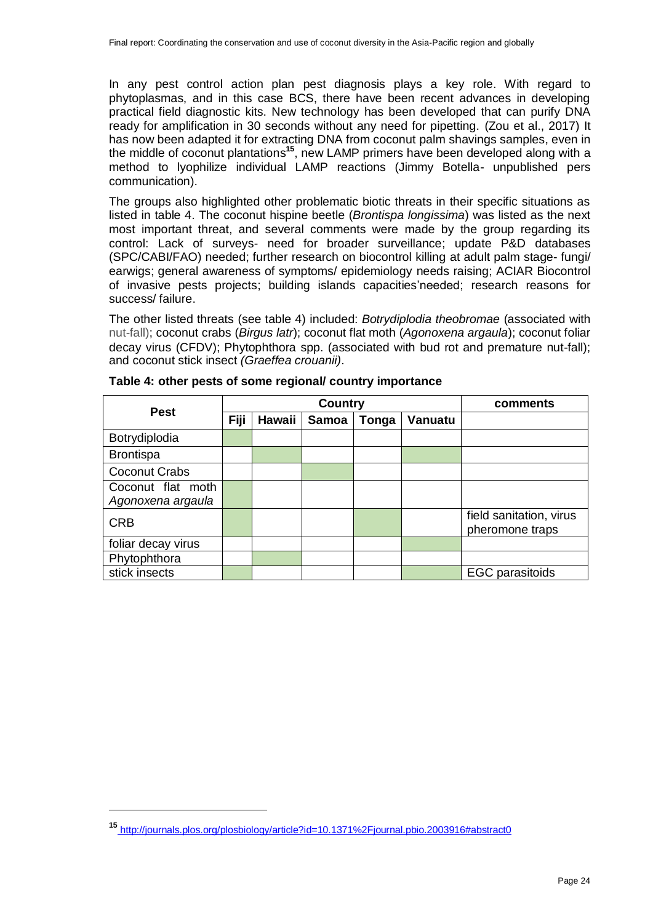In any pest control action plan pest diagnosis plays a key role. With regard to phytoplasmas, and in this case BCS, there have been recent advances in developing practical field diagnostic kits. New technology has been developed that can purify DNA ready for amplification in 30 seconds without any need for pipetting. (Zou et al., 2017) It has now been adapted it for extracting DNA from coconut palm shavings samples, even in the middle of coconut plantations<sup>15</sup>, new LAMP primers have been developed along with a method to lyophilize individual LAMP reactions (Jimmy Botella- unpublished pers communication).

The groups also highlighted other problematic biotic threats in their specific situations as listed in table 4. The coconut hispine beetle (*Brontispa longissima*) was listed as the next most important threat, and several comments were made by the group regarding its control: Lack of surveys- need for broader surveillance; update P&D databases (SPC/CABI/FAO) needed; further research on biocontrol killing at adult palm stage- fungi/ earwigs; general awareness of symptoms/ epidemiology needs raising; ACIAR Biocontrol of invasive pests projects; building islands capacities'needed; research reasons for success/ failure.

The other listed threats (see table 4) included: *Botrydiplodia theobromae* (associated with nut-fall); coconut crabs (*Birgus latr*); coconut flat moth (*Agonoxena argaula*); coconut foliar decay virus (CFDV); Phytophthora spp. (associated with bud rot and premature nut-fall); and coconut stick insect *(Graeffea crouanii)*.

| <b>Pest</b>                            | <b>Country</b> |        |              |       | comments |                                            |
|----------------------------------------|----------------|--------|--------------|-------|----------|--------------------------------------------|
|                                        | Fiji           | Hawaii | <b>Samoa</b> | Tonga | Vanuatu  |                                            |
| Botrydiplodia                          |                |        |              |       |          |                                            |
| <b>Brontispa</b>                       |                |        |              |       |          |                                            |
| <b>Coconut Crabs</b>                   |                |        |              |       |          |                                            |
| Coconut flat moth<br>Agonoxena argaula |                |        |              |       |          |                                            |
| <b>CRB</b>                             |                |        |              |       |          | field sanitation, virus<br>pheromone traps |
| foliar decay virus                     |                |        |              |       |          |                                            |
| Phytophthora                           |                |        |              |       |          |                                            |
| stick insects                          |                |        |              |       |          | <b>EGC</b> parasitoids                     |

| Table 4: other pests of some regional/ country importance |  |  |  |  |
|-----------------------------------------------------------|--|--|--|--|
|-----------------------------------------------------------|--|--|--|--|

-

**<sup>15</sup>** <http://journals.plos.org/plosbiology/article?id=10.1371%2Fjournal.pbio.2003916#abstract0>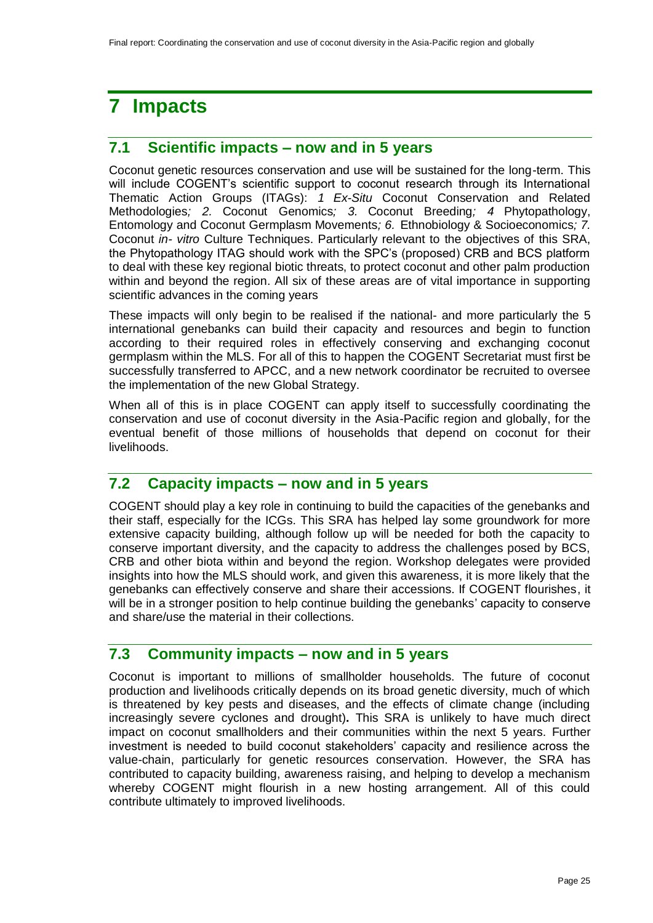# <span id="page-29-0"></span>**7 Impacts**

### <span id="page-29-1"></span>**7.1 Scientific impacts – now and in 5 years**

Coconut genetic resources conservation and use will be sustained for the long-term. This will include COGENT's scientific support to coconut research through its International Thematic Action Groups (ITAGs): *1 Ex-Situ* Coconut Conservation and Related Methodologies*; 2.* Coconut Genomics*; 3.* Coconut Breeding*; 4* Phytopathology, Entomology and Coconut Germplasm Movements*; 6.* Ethnobiology & Socioeconomics*; 7.*  Coconut *in- vitro* Culture Techniques. Particularly relevant to the objectives of this SRA, the Phytopathology ITAG should work with the SPC's (proposed) CRB and BCS platform to deal with these key regional biotic threats, to protect coconut and other palm production within and beyond the region. All six of these areas are of vital importance in supporting scientific advances in the coming years

These impacts will only begin to be realised if the national- and more particularly the 5 international genebanks can build their capacity and resources and begin to function according to their required roles in effectively conserving and exchanging coconut germplasm within the MLS. For all of this to happen the COGENT Secretariat must first be successfully transferred to APCC, and a new network coordinator be recruited to oversee the implementation of the new Global Strategy.

When all of this is in place COGENT can apply itself to successfully coordinating the conservation and use of coconut diversity in the Asia-Pacific region and globally, for the eventual benefit of those millions of households that depend on coconut for their livelihoods.

# <span id="page-29-2"></span>**7.2 Capacity impacts – now and in 5 years**

COGENT should play a key role in continuing to build the capacities of the genebanks and their staff, especially for the ICGs. This SRA has helped lay some groundwork for more extensive capacity building, although follow up will be needed for both the capacity to conserve important diversity, and the capacity to address the challenges posed by BCS, CRB and other biota within and beyond the region. Workshop delegates were provided insights into how the MLS should work, and given this awareness, it is more likely that the genebanks can effectively conserve and share their accessions. If COGENT flourishes, it will be in a stronger position to help continue building the genebanks' capacity to conserve and share/use the material in their collections.

### <span id="page-29-3"></span>**7.3 Community impacts – now and in 5 years**

Coconut is important to millions of smallholder households. The future of coconut production and livelihoods critically depends on its broad genetic diversity, much of which is threatened by key pests and diseases, and the effects of climate change (including increasingly severe cyclones and drought)**.** This SRA is unlikely to have much direct impact on coconut smallholders and their communities within the next 5 years. Further investment is needed to build coconut stakeholders' capacity and resilience across the value-chain, particularly for genetic resources conservation. However, the SRA has contributed to capacity building, awareness raising, and helping to develop a mechanism whereby COGENT might flourish in a new hosting arrangement. All of this could contribute ultimately to improved livelihoods.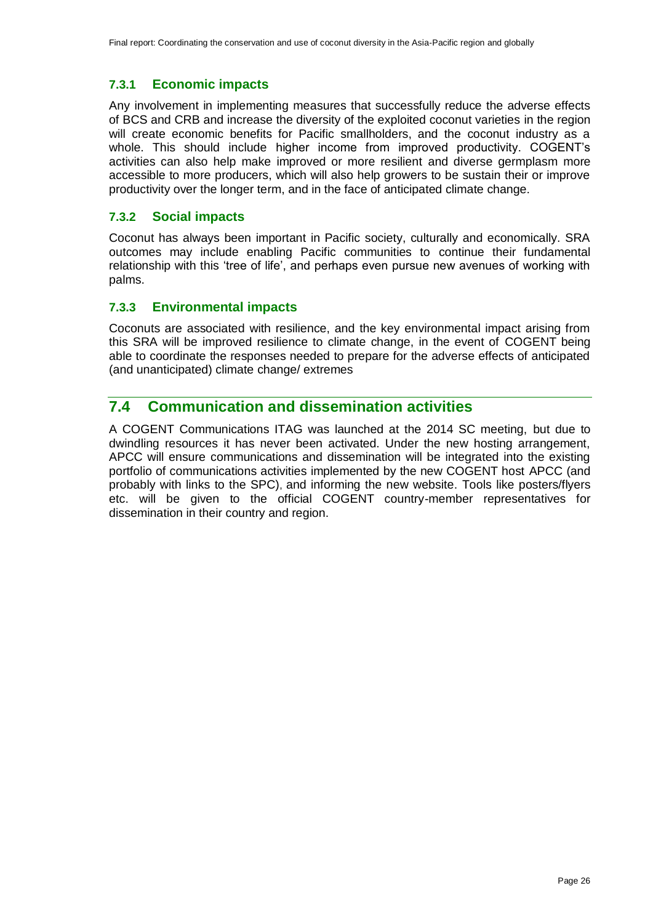#### **7.3.1 Economic impacts**

Any involvement in implementing measures that successfully reduce the adverse effects of BCS and CRB and increase the diversity of the exploited coconut varieties in the region will create economic benefits for Pacific smallholders, and the coconut industry as a whole. This should include higher income from improved productivity. COGENT's activities can also help make improved or more resilient and diverse germplasm more accessible to more producers, which will also help growers to be sustain their or improve productivity over the longer term, and in the face of anticipated climate change.

#### **7.3.2 Social impacts**

Coconut has always been important in Pacific society, culturally and economically. SRA outcomes may include enabling Pacific communities to continue their fundamental relationship with this 'tree of life', and perhaps even pursue new avenues of working with palms.

#### **7.3.3 Environmental impacts**

Coconuts are associated with resilience, and the key environmental impact arising from this SRA will be improved resilience to climate change, in the event of COGENT being able to coordinate the responses needed to prepare for the adverse effects of anticipated (and unanticipated) climate change/ extremes

### <span id="page-30-0"></span>**7.4 Communication and dissemination activities**

A COGENT Communications ITAG was launched at the 2014 SC meeting, but due to dwindling resources it has never been activated. Under the new hosting arrangement, APCC will ensure communications and dissemination will be integrated into the existing portfolio of communications activities implemented by the new COGENT host APCC (and probably with links to the SPC), and informing the new website. Tools like posters/flyers etc. will be given to the official COGENT country-member representatives for dissemination in their country and region.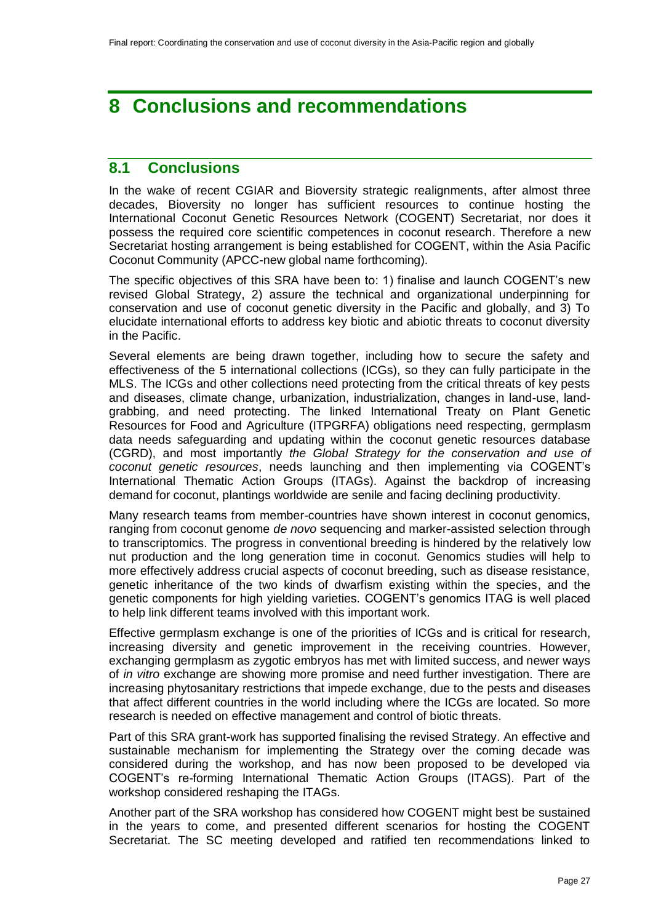# <span id="page-31-0"></span>**8 Conclusions and recommendations**

### <span id="page-31-1"></span>**8.1 Conclusions**

In the wake of recent CGIAR and Bioversity strategic realignments, after almost three decades, Bioversity no longer has sufficient resources to continue hosting the International Coconut Genetic Resources Network (COGENT) Secretariat, nor does it possess the required core scientific competences in coconut research. Therefore a new Secretariat hosting arrangement is being established for COGENT, within the Asia Pacific Coconut Community (APCC-new global name forthcoming).

The specific objectives of this SRA have been to: 1) finalise and launch COGENT's new revised Global Strategy, 2) assure the technical and organizational underpinning for conservation and use of coconut genetic diversity in the Pacific and globally, and 3) To elucidate international efforts to address key biotic and abiotic threats to coconut diversity in the Pacific.

Several elements are being drawn together, including how to secure the safety and effectiveness of the 5 international collections (ICGs), so they can fully participate in the MLS. The ICGs and other collections need protecting from the critical threats of key pests and diseases, climate change, urbanization, industrialization, changes in land-use, landgrabbing, and need protecting. The linked International Treaty on Plant Genetic Resources for Food and Agriculture (ITPGRFA) obligations need respecting, germplasm data needs safeguarding and updating within the coconut genetic resources database (CGRD), and most importantly *the Global Strategy for the conservation and use of coconut genetic resources*, needs launching and then implementing via COGENT's International Thematic Action Groups (ITAGs). Against the backdrop of increasing demand for coconut, plantings worldwide are senile and facing declining productivity.

Many research teams from member-countries have shown interest in coconut genomics, ranging from coconut genome *de novo* sequencing and marker-assisted selection through to transcriptomics. The progress in conventional breeding is hindered by the relatively low nut production and the long generation time in coconut. Genomics studies will help to more effectively address crucial aspects of coconut breeding, such as disease resistance, genetic inheritance of the two kinds of dwarfism existing within the species, and the genetic components for high yielding varieties. COGENT's genomics ITAG is well placed to help link different teams involved with this important work.

Effective germplasm exchange is one of the priorities of ICGs and is critical for research, increasing diversity and genetic improvement in the receiving countries. However, exchanging germplasm as zygotic embryos has met with limited success, and newer ways of *in vitro* exchange are showing more promise and need further investigation. There are increasing phytosanitary restrictions that impede exchange, due to the pests and diseases that affect different countries in the world including where the ICGs are located. So more research is needed on effective management and control of biotic threats.

Part of this SRA grant-work has supported finalising the revised Strategy. An effective and sustainable mechanism for implementing the Strategy over the coming decade was considered during the workshop, and has now been proposed to be developed via COGENT's re-forming International Thematic Action Groups (ITAGS). Part of the workshop considered reshaping the ITAGs.

Another part of the SRA workshop has considered how COGENT might best be sustained in the years to come, and presented different scenarios for hosting the COGENT Secretariat. The SC meeting developed and ratified ten recommendations linked to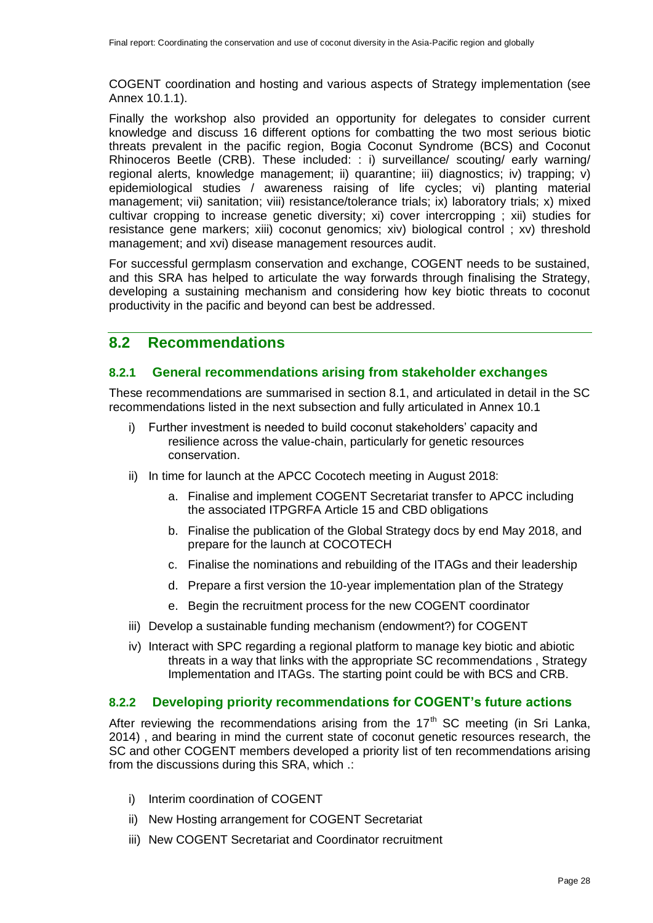COGENT coordination and hosting and various aspects of Strategy implementation (see Annex 10.1.1).

Finally the workshop also provided an opportunity for delegates to consider current knowledge and discuss 16 different options for combatting the two most serious biotic threats prevalent in the pacific region, Bogia Coconut Syndrome (BCS) and Coconut Rhinoceros Beetle (CRB). These included: : i) surveillance/ scouting/ early warning/ regional alerts, knowledge management; ii) quarantine; iii) diagnostics; iv) trapping; v) epidemiological studies / awareness raising of life cycles; vi) planting material management; vii) sanitation; viii) resistance/tolerance trials; ix) laboratory trials; x) mixed cultivar cropping to increase genetic diversity; xi) cover intercropping ; xii) studies for resistance gene markers; xiii) coconut genomics; xiv) biological control ; xv) threshold management; and xvi) disease management resources audit.

For successful germplasm conservation and exchange, COGENT needs to be sustained, and this SRA has helped to articulate the way forwards through finalising the Strategy, developing a sustaining mechanism and considering how key biotic threats to coconut productivity in the pacific and beyond can best be addressed.

### <span id="page-32-0"></span>**8.2 Recommendations**

#### **8.2.1 General recommendations arising from stakeholder exchanges**

These recommendations are summarised in section 8.1, and articulated in detail in the SC recommendations listed in the next subsection and fully articulated in Annex 10.1

- i) Further investment is needed to build coconut stakeholders' capacity and resilience across the value-chain, particularly for genetic resources conservation.
- ii) In time for launch at the APCC Cocotech meeting in August 2018:
	- a. Finalise and implement COGENT Secretariat transfer to APCC including the associated ITPGRFA Article 15 and CBD obligations
	- b. Finalise the publication of the Global Strategy docs by end May 2018, and prepare for the launch at COCOTECH
	- c. Finalise the nominations and rebuilding of the ITAGs and their leadership
	- d. Prepare a first version the 10-year implementation plan of the Strategy
	- e. Begin the recruitment process for the new COGENT coordinator
- iii) Develop a sustainable funding mechanism (endowment?) for COGENT
- iv) Interact with SPC regarding a regional platform to manage key biotic and abiotic threats in a way that links with the appropriate SC recommendations , Strategy Implementation and ITAGs. The starting point could be with BCS and CRB.

#### **8.2.2 Developing priority recommendations for COGENT's future actions**

After reviewing the recommendations arising from the  $17<sup>th</sup>$  SC meeting (in Sri Lanka, 2014) , and bearing in mind the current state of coconut genetic resources research, the SC and other COGENT members developed a priority list of ten recommendations arising from the discussions during this SRA, which .:

- i) Interim coordination of COGENT
- ii) New Hosting arrangement for COGENT Secretariat
- iii) New COGENT Secretariat and Coordinator recruitment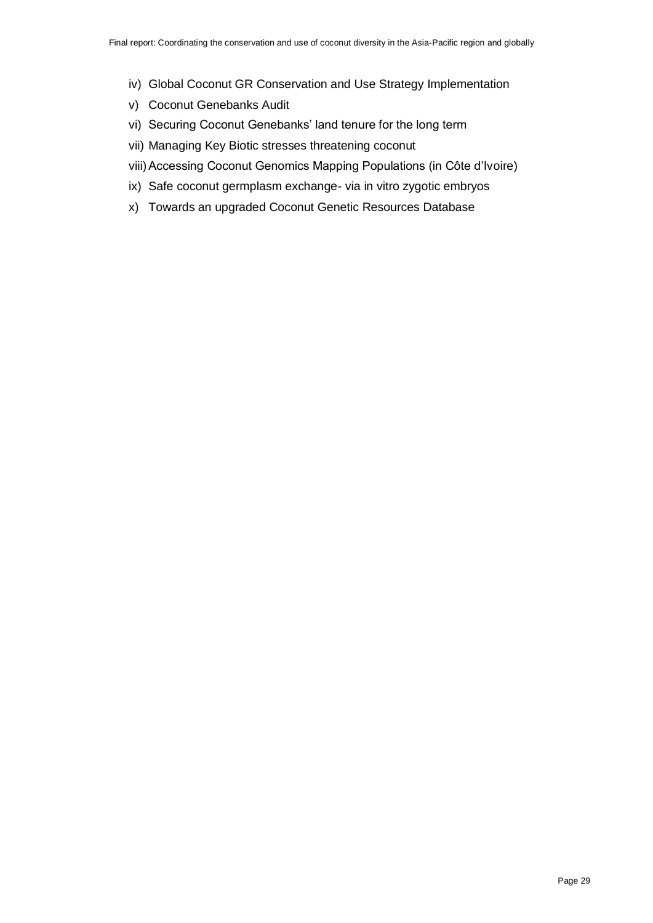- iv) Global Coconut GR Conservation and Use Strategy Implementation
- v) Coconut Genebanks Audit
- vi) Securing Coconut Genebanks' land tenure for the long term
- vii) Managing Key Biotic stresses threatening coconut
- viii)Accessing Coconut Genomics Mapping Populations (in Côte d'Ivoire)
- ix) Safe coconut germplasm exchange- via in vitro zygotic embryos
- x) Towards an upgraded Coconut Genetic Resources Database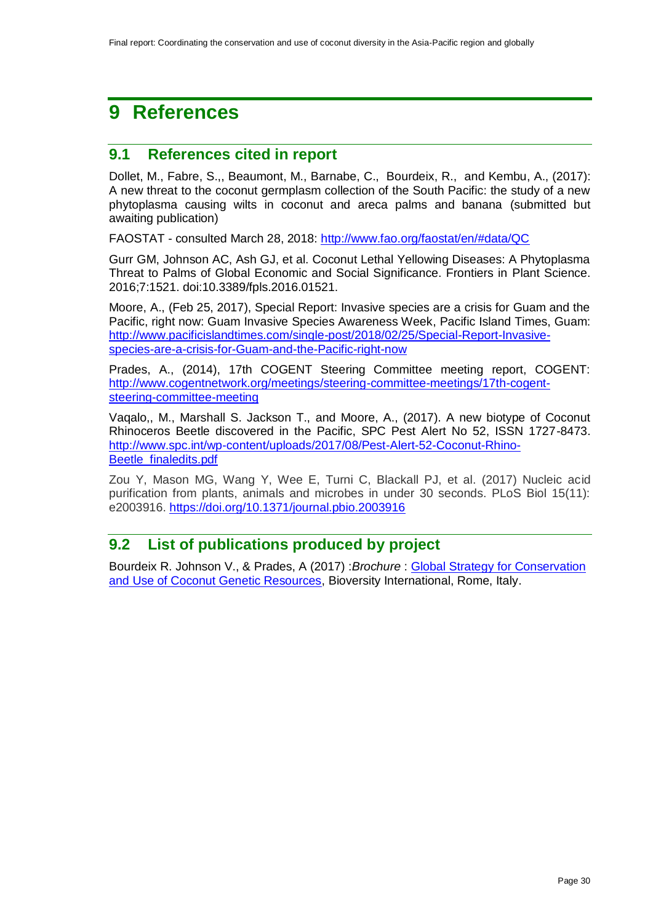# <span id="page-34-0"></span>**9 References**

### <span id="page-34-1"></span>**9.1 References cited in report**

Dollet, M., Fabre, S.,, Beaumont, M., Barnabe, C., Bourdeix, R., and Kembu, A., (2017): A new threat to the coconut germplasm collection of the South Pacific: the study of a new phytoplasma causing wilts in coconut and areca palms and banana (submitted but awaiting publication)

FAOSTAT - consulted March 28, 2018:<http://www.fao.org/faostat/en/#data/QC>

Gurr GM, Johnson AC, Ash GJ, et al. Coconut Lethal Yellowing Diseases: A Phytoplasma Threat to Palms of Global Economic and Social Significance. Frontiers in Plant Science. 2016;7:1521. doi:10.3389/fpls.2016.01521.

Moore, A., (Feb 25, 2017), Special Report: Invasive species are a crisis for Guam and the Pacific, right now: Guam Invasive Species Awareness Week, Pacific Island Times, Guam: [http://www.pacificislandtimes.com/single-post/2018/02/25/Special-Report-Invasive](http://www.pacificislandtimes.com/single-post/2018/02/25/Special-Report-Invasive-species-are-a-crisis-for-Guam-and-the-Pacific-right-now)[species-are-a-crisis-for-Guam-and-the-Pacific-right-now](http://www.pacificislandtimes.com/single-post/2018/02/25/Special-Report-Invasive-species-are-a-crisis-for-Guam-and-the-Pacific-right-now)

Prades, A., (2014), 17th COGENT Steering Committee meeting report, COGENT: [http://www.cogentnetwork.org/meetings/steering-committee-meetings/17th-cogent](http://www.cogentnetwork.org/meetings/steering-committee-meetings/17th-cogent-steering-committee-meeting)[steering-committee-meeting](http://www.cogentnetwork.org/meetings/steering-committee-meetings/17th-cogent-steering-committee-meeting)

Vaqalo,, M., Marshall S. Jackson T., and Moore, A., (2017). A new biotype of Coconut Rhinoceros Beetle discovered in the Pacific, SPC Pest Alert No 52, ISSN 1727-8473. [http://www.spc.int/wp-content/uploads/2017/08/Pest-Alert-52-Coconut-Rhino-](http://www.spc.int/wp-content/uploads/2017/08/Pest-Alert-52-Coconut-Rhino-Beetle_finaledits.pdf)[Beetle\\_finaledits.pdf](http://www.spc.int/wp-content/uploads/2017/08/Pest-Alert-52-Coconut-Rhino-Beetle_finaledits.pdf)

Zou Y, Mason MG, Wang Y, Wee E, Turni C, Blackall PJ, et al. (2017) Nucleic acid purification from plants, animals and microbes in under 30 seconds. PLoS Biol 15(11): e2003916.<https://doi.org/10.1371/journal.pbio.2003916>

### <span id="page-34-2"></span>**9.2 List of publications produced by project**

Bourdeix R. Johnson V., & Prades, A (2017) :*Brochure* : [Global Strategy](http://www.cogentnetwork.org/images/publications/Brochure_final_LLD_Oct_25_2017_full_web_version.pdf) for Conservation and Use of Coconut Genetic Resources, Bioversity International, Rome, Italy.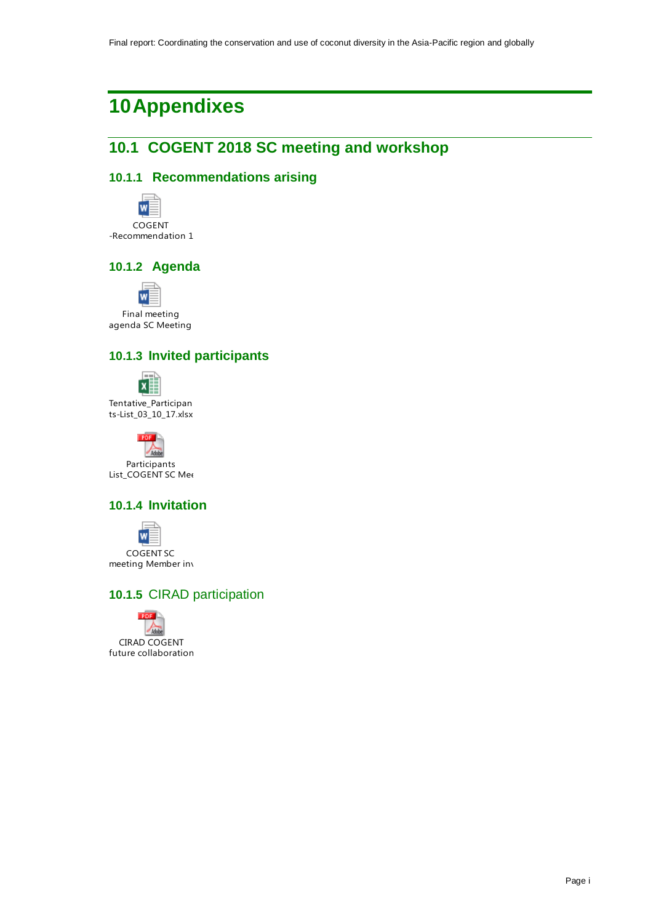# <span id="page-35-0"></span>**10Appendixes**

# <span id="page-35-1"></span>**10.1 COGENT 2018 SC meeting and workshop**

#### **10.1.1 Recommendations arising**



-Recommendation 1

#### **10.1.2 Agenda**



Final meeting agenda SC Meeting

#### **10.1.3 Invited participants**



Tentative\_Participan ts-List\_03\_10\_17.xlsx



# **10.1.4 Invitation**



meeting Member inv

#### **10.1.5** CIRAD participation

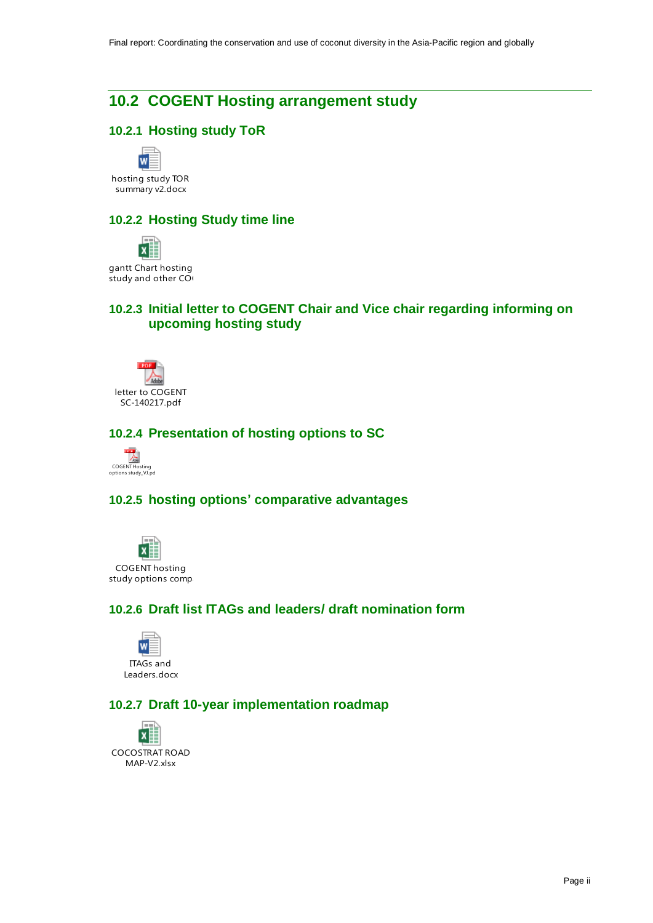## <span id="page-36-0"></span>**10.2 COGENT Hosting arrangement study**

#### **10.2.1 Hosting study ToR**



hosting study TOR summary v2.docx

#### **10.2.2 Hosting Study time line**



gantt Chart hosting study and other CO

#### **10.2.3 Initial letter to COGENT Chair and Vice chair regarding informing on upcoming hosting study**



#### **10.2.4 Presentation of hosting options to SC**



#### **10.2.5 hosting options' comparative advantages**



#### **10.2.6 Draft list ITAGs and leaders/ draft nomination form**



#### **10.2.7 Draft 10-year implementation roadmap**